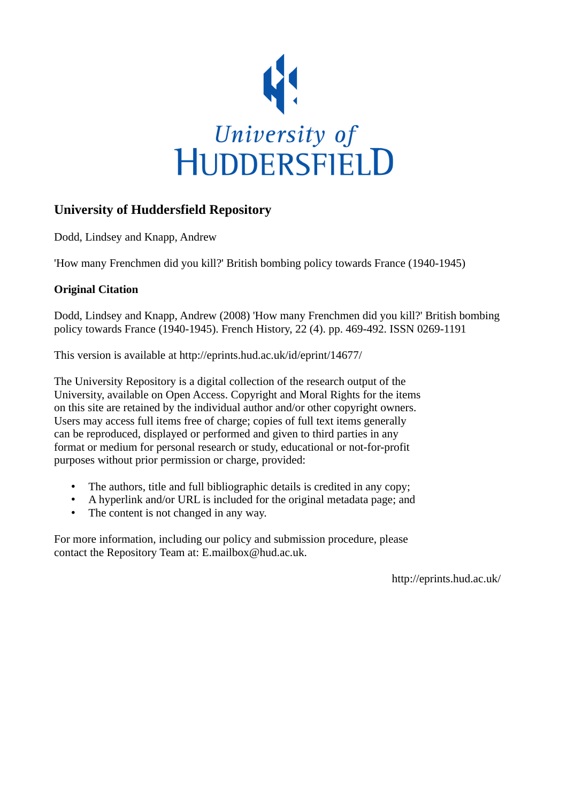

## **University of Huddersfield Repository**

Dodd, Lindsey and Knapp, Andrew

'How many Frenchmen did you kill?' British bombing policy towards France (1940-1945)

### **Original Citation**

Dodd, Lindsey and Knapp, Andrew (2008) 'How many Frenchmen did you kill?' British bombing policy towards France (1940-1945). French History, 22 (4). pp. 469-492. ISSN 0269-1191

This version is available at http://eprints.hud.ac.uk/id/eprint/14677/

The University Repository is a digital collection of the research output of the University, available on Open Access. Copyright and Moral Rights for the items on this site are retained by the individual author and/or other copyright owners. Users may access full items free of charge; copies of full text items generally can be reproduced, displayed or performed and given to third parties in any format or medium for personal research or study, educational or not-for-profit purposes without prior permission or charge, provided:

- The authors, title and full bibliographic details is credited in any copy;
- A hyperlink and/or URL is included for the original metadata page; and
- The content is not changed in any way.

For more information, including our policy and submission procedure, please contact the Repository Team at: E.mailbox@hud.ac.uk.

http://eprints.hud.ac.uk/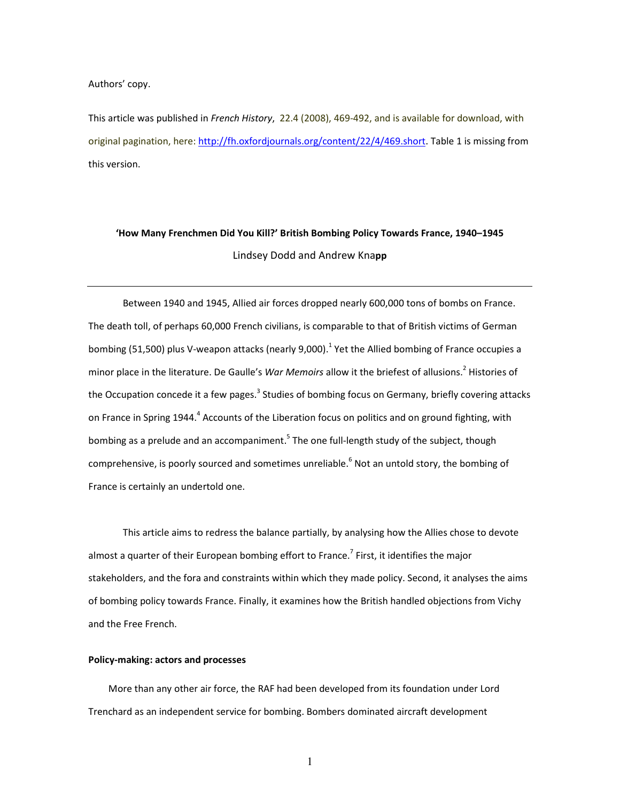Authors' copy.

This article was published in French History, 22.4 (2008), 469-492, and is available for download, with original pagination, here: http://fh.oxfordjournals.org/content/22/4/469.short. Table 1 is missing from this version.

# 'How Many Frenchmen Did You Kill?' British Bombing Policy Towards France, 1940–1945 Lindsey Dodd and Andrew Knapp

Between 1940 and 1945, Allied air forces dropped nearly 600,000 tons of bombs on France. The death toll, of perhaps 60,000 French civilians, is comparable to that of British victims of German bombing (51,500) plus V-weapon attacks (nearly 9,000).<sup>1</sup> Yet the Allied bombing of France occupies a minor place in the literature. De Gaulle's War Memoirs allow it the briefest of allusions.<sup>2</sup> Histories of the Occupation concede it a few pages.<sup>3</sup> Studies of bombing focus on Germany, briefly covering attacks on France in Spring 1944.<sup>4</sup> Accounts of the Liberation focus on politics and on ground fighting, with bombing as a prelude and an accompaniment.<sup>5</sup> The one full-length study of the subject, though comprehensive, is poorly sourced and sometimes unreliable.<sup>6</sup> Not an untold story, the bombing of France is certainly an undertold one.

This article aims to redress the balance partially, by analysing how the Allies chose to devote almost a quarter of their European bombing effort to France.<sup>7</sup> First, it identifies the major stakeholders, and the fora and constraints within which they made policy. Second, it analyses the aims of bombing policy towards France. Finally, it examines how the British handled objections from Vichy and the Free French.

#### Policy-making: actors and processes

More than any other air force, the RAF had been developed from its foundation under Lord Trenchard as an independent service for bombing. Bombers dominated aircraft development

1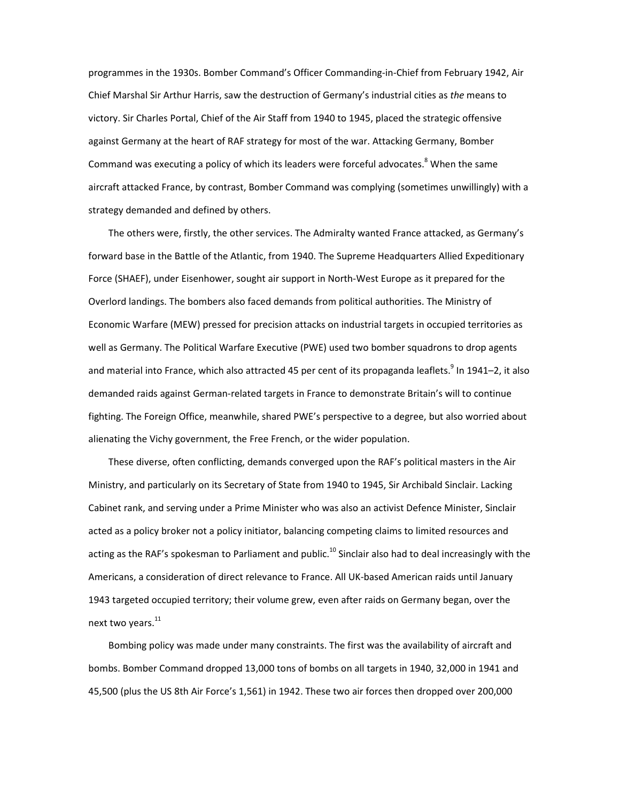programmes in the 1930s. Bomber Command's Officer Commanding-in-Chief from February 1942, Air Chief Marshal Sir Arthur Harris, saw the destruction of Germany's industrial cities as the means to victory. Sir Charles Portal, Chief of the Air Staff from 1940 to 1945, placed the strategic offensive against Germany at the heart of RAF strategy for most of the war. Attacking Germany, Bomber Command was executing a policy of which its leaders were forceful advocates.<sup>8</sup> When the same aircraft attacked France, by contrast, Bomber Command was complying (sometimes unwillingly) with a strategy demanded and defined by others.

The others were, firstly, the other services. The Admiralty wanted France attacked, as Germany's forward base in the Battle of the Atlantic, from 1940. The Supreme Headquarters Allied Expeditionary Force (SHAEF), under Eisenhower, sought air support in North-West Europe as it prepared for the Overlord landings. The bombers also faced demands from political authorities. The Ministry of Economic Warfare (MEW) pressed for precision attacks on industrial targets in occupied territories as well as Germany. The Political Warfare Executive (PWE) used two bomber squadrons to drop agents and material into France, which also attracted 45 per cent of its propaganda leaflets.<sup>9</sup> In 1941–2, it also demanded raids against German-related targets in France to demonstrate Britain's will to continue fighting. The Foreign Office, meanwhile, shared PWE's perspective to a degree, but also worried about alienating the Vichy government, the Free French, or the wider population.

These diverse, often conflicting, demands converged upon the RAF's political masters in the Air Ministry, and particularly on its Secretary of State from 1940 to 1945, Sir Archibald Sinclair. Lacking Cabinet rank, and serving under a Prime Minister who was also an activist Defence Minister, Sinclair acted as a policy broker not a policy initiator, balancing competing claims to limited resources and acting as the RAF's spokesman to Parliament and public.<sup>10</sup> Sinclair also had to deal increasingly with the Americans, a consideration of direct relevance to France. All UK-based American raids until January 1943 targeted occupied territory; their volume grew, even after raids on Germany began, over the next two years. $^{11}$ 

Bombing policy was made under many constraints. The first was the availability of aircraft and bombs. Bomber Command dropped 13,000 tons of bombs on all targets in 1940, 32,000 in 1941 and 45,500 (plus the US 8th Air Force's 1,561) in 1942. These two air forces then dropped over 200,000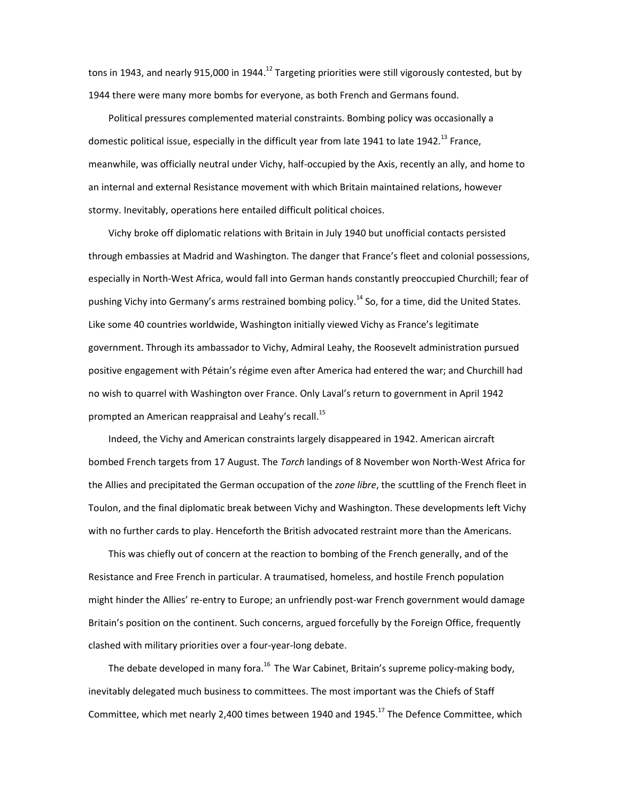tons in 1943, and nearly 915,000 in 1944.<sup>12</sup> Targeting priorities were still vigorously contested, but by 1944 there were many more bombs for everyone, as both French and Germans found.

Political pressures complemented material constraints. Bombing policy was occasionally a domestic political issue, especially in the difficult year from late 1941 to late 1942.<sup>13</sup> France, meanwhile, was officially neutral under Vichy, half-occupied by the Axis, recently an ally, and home to an internal and external Resistance movement with which Britain maintained relations, however stormy. Inevitably, operations here entailed difficult political choices.

Vichy broke off diplomatic relations with Britain in July 1940 but unofficial contacts persisted through embassies at Madrid and Washington. The danger that France's fleet and colonial possessions, especially in North-West Africa, would fall into German hands constantly preoccupied Churchill; fear of pushing Vichy into Germany's arms restrained bombing policy.<sup>14</sup> So, for a time, did the United States. Like some 40 countries worldwide, Washington initially viewed Vichy as France's legitimate government. Through its ambassador to Vichy, Admiral Leahy, the Roosevelt administration pursued positive engagement with Pétain's régime even after America had entered the war; and Churchill had no wish to quarrel with Washington over France. Only Laval's return to government in April 1942 prompted an American reappraisal and Leahy's recall.<sup>15</sup>

Indeed, the Vichy and American constraints largely disappeared in 1942. American aircraft bombed French targets from 17 August. The Torch landings of 8 November won North-West Africa for the Allies and precipitated the German occupation of the zone libre, the scuttling of the French fleet in Toulon, and the final diplomatic break between Vichy and Washington. These developments left Vichy with no further cards to play. Henceforth the British advocated restraint more than the Americans.

This was chiefly out of concern at the reaction to bombing of the French generally, and of the Resistance and Free French in particular. A traumatised, homeless, and hostile French population might hinder the Allies' re-entry to Europe; an unfriendly post-war French government would damage Britain's position on the continent. Such concerns, argued forcefully by the Foreign Office, frequently clashed with military priorities over a four-year-long debate.

The debate developed in many fora.<sup>16</sup> The War Cabinet, Britain's supreme policy-making body, inevitably delegated much business to committees. The most important was the Chiefs of Staff Committee, which met nearly 2,400 times between 1940 and 1945.<sup>17</sup> The Defence Committee, which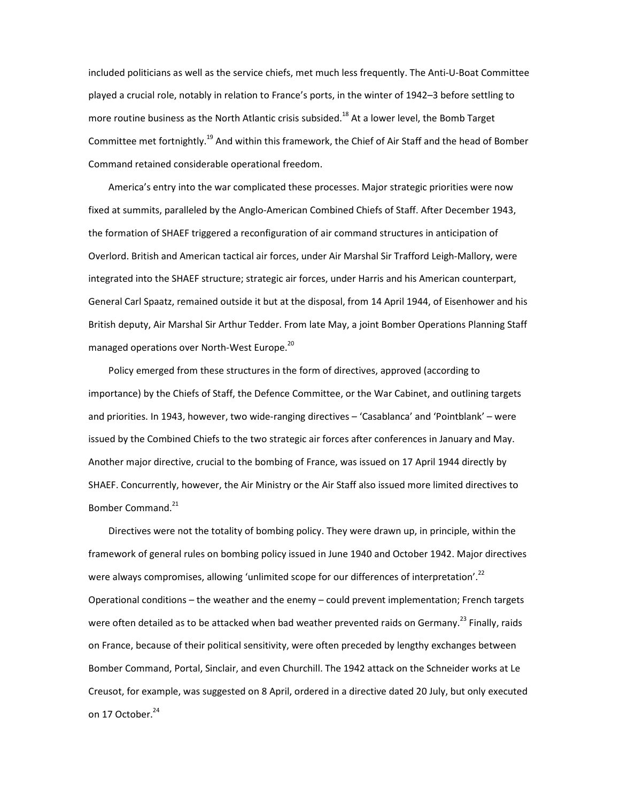included politicians as well as the service chiefs, met much less frequently. The Anti-U-Boat Committee played a crucial role, notably in relation to France's ports, in the winter of 1942–3 before settling to more routine business as the North Atlantic crisis subsided.<sup>18</sup> At a lower level, the Bomb Target Committee met fortnightly.<sup>19</sup> And within this framework, the Chief of Air Staff and the head of Bomber Command retained considerable operational freedom.

America's entry into the war complicated these processes. Major strategic priorities were now fixed at summits, paralleled by the Anglo-American Combined Chiefs of Staff. After December 1943, the formation of SHAEF triggered a reconfiguration of air command structures in anticipation of Overlord. British and American tactical air forces, under Air Marshal Sir Trafford Leigh-Mallory, were integrated into the SHAEF structure; strategic air forces, under Harris and his American counterpart, General Carl Spaatz, remained outside it but at the disposal, from 14 April 1944, of Eisenhower and his British deputy, Air Marshal Sir Arthur Tedder. From late May, a joint Bomber Operations Planning Staff managed operations over North-West Europe.<sup>20</sup>

Policy emerged from these structures in the form of directives, approved (according to importance) by the Chiefs of Staff, the Defence Committee, or the War Cabinet, and outlining targets and priorities. In 1943, however, two wide-ranging directives – 'Casablanca' and 'Pointblank' – were issued by the Combined Chiefs to the two strategic air forces after conferences in January and May. Another major directive, crucial to the bombing of France, was issued on 17 April 1944 directly by SHAEF. Concurrently, however, the Air Ministry or the Air Staff also issued more limited directives to Bomber Command.<sup>21</sup>

Directives were not the totality of bombing policy. They were drawn up, in principle, within the framework of general rules on bombing policy issued in June 1940 and October 1942. Major directives were always compromises, allowing 'unlimited scope for our differences of interpretation'.<sup>22</sup> Operational conditions – the weather and the enemy – could prevent implementation; French targets were often detailed as to be attacked when bad weather prevented raids on Germany.<sup>23</sup> Finally, raids on France, because of their political sensitivity, were often preceded by lengthy exchanges between Bomber Command, Portal, Sinclair, and even Churchill. The 1942 attack on the Schneider works at Le Creusot, for example, was suggested on 8 April, ordered in a directive dated 20 July, but only executed on 17 October.<sup>24</sup>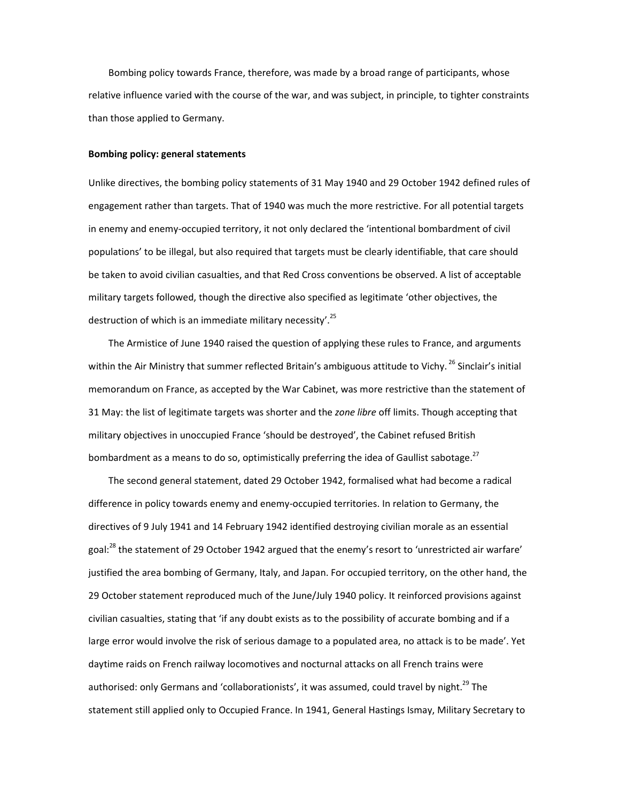Bombing policy towards France, therefore, was made by a broad range of participants, whose relative influence varied with the course of the war, and was subject, in principle, to tighter constraints than those applied to Germany.

#### Bombing policy: general statements

Unlike directives, the bombing policy statements of 31 May 1940 and 29 October 1942 defined rules of engagement rather than targets. That of 1940 was much the more restrictive. For all potential targets in enemy and enemy-occupied territory, it not only declared the 'intentional bombardment of civil populations' to be illegal, but also required that targets must be clearly identifiable, that care should be taken to avoid civilian casualties, and that Red Cross conventions be observed. A list of acceptable military targets followed, though the directive also specified as legitimate 'other objectives, the destruction of which is an immediate military necessity'.<sup>25</sup>

The Armistice of June 1940 raised the question of applying these rules to France, and arguments within the Air Ministry that summer reflected Britain's ambiguous attitude to Vichy.<sup>26</sup> Sinclair's initial memorandum on France, as accepted by the War Cabinet, was more restrictive than the statement of 31 May: the list of legitimate targets was shorter and the zone libre off limits. Though accepting that military objectives in unoccupied France 'should be destroyed', the Cabinet refused British bombardment as a means to do so, optimistically preferring the idea of Gaullist sabotage.<sup>27</sup>

The second general statement, dated 29 October 1942, formalised what had become a radical difference in policy towards enemy and enemy-occupied territories. In relation to Germany, the directives of 9 July 1941 and 14 February 1942 identified destroying civilian morale as an essential goal: $^{28}$  the statement of 29 October 1942 argued that the enemy's resort to 'unrestricted air warfare' justified the area bombing of Germany, Italy, and Japan. For occupied territory, on the other hand, the 29 October statement reproduced much of the June/July 1940 policy. It reinforced provisions against civilian casualties, stating that 'if any doubt exists as to the possibility of accurate bombing and if a large error would involve the risk of serious damage to a populated area, no attack is to be made'. Yet daytime raids on French railway locomotives and nocturnal attacks on all French trains were authorised: only Germans and 'collaborationists', it was assumed, could travel by night.<sup>29</sup> The statement still applied only to Occupied France. In 1941, General Hastings Ismay, Military Secretary to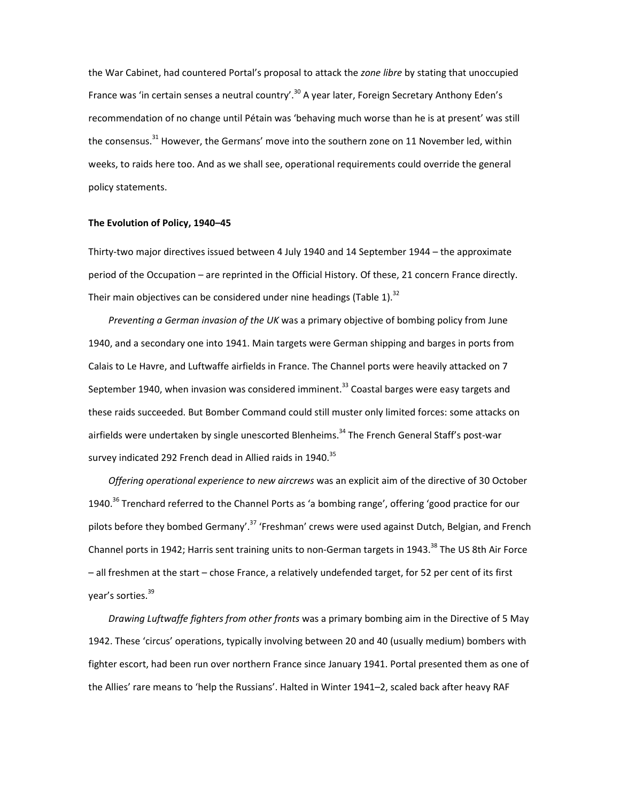the War Cabinet, had countered Portal's proposal to attack the zone libre by stating that unoccupied France was 'in certain senses a neutral country'.<sup>30</sup> A year later, Foreign Secretary Anthony Eden's recommendation of no change until Pétain was 'behaving much worse than he is at present' was still the consensus.<sup>31</sup> However, the Germans' move into the southern zone on 11 November led, within weeks, to raids here too. And as we shall see, operational requirements could override the general policy statements.

#### The Evolution of Policy, 1940–45

Thirty-two major directives issued between 4 July 1940 and 14 September 1944 – the approximate period of the Occupation – are reprinted in the Official History. Of these, 21 concern France directly. Their main objectives can be considered under nine headings (Table 1). $32$ 

Preventing a German invasion of the UK was a primary objective of bombing policy from June 1940, and a secondary one into 1941. Main targets were German shipping and barges in ports from Calais to Le Havre, and Luftwaffe airfields in France. The Channel ports were heavily attacked on 7 September 1940, when invasion was considered imminent.<sup>33</sup> Coastal barges were easy targets and these raids succeeded. But Bomber Command could still muster only limited forces: some attacks on airfields were undertaken by single unescorted Blenheims.<sup>34</sup> The French General Staff's post-war survey indicated 292 French dead in Allied raids in 1940.<sup>35</sup>

Offering operational experience to new aircrews was an explicit aim of the directive of 30 October 1940.<sup>36</sup> Trenchard referred to the Channel Ports as 'a bombing range', offering 'good practice for our pilots before they bombed Germany'.<sup>37</sup> 'Freshman' crews were used against Dutch, Belgian, and French Channel ports in 1942; Harris sent training units to non-German targets in 1943.<sup>38</sup> The US 8th Air Force – all freshmen at the start – chose France, a relatively undefended target, for 52 per cent of its first year's sorties.<sup>39</sup>

Drawing Luftwaffe fighters from other fronts was a primary bombing aim in the Directive of 5 May 1942. These 'circus' operations, typically involving between 20 and 40 (usually medium) bombers with fighter escort, had been run over northern France since January 1941. Portal presented them as one of the Allies' rare means to 'help the Russians'. Halted in Winter 1941–2, scaled back after heavy RAF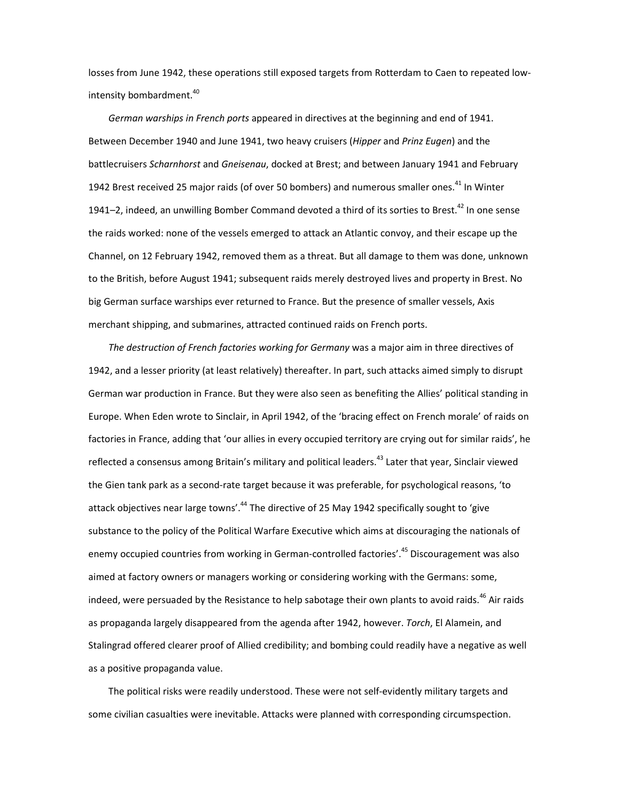losses from June 1942, these operations still exposed targets from Rotterdam to Caen to repeated lowintensity bombardment.<sup>40</sup>

German warships in French ports appeared in directives at the beginning and end of 1941. Between December 1940 and June 1941, two heavy cruisers (Hipper and Prinz Eugen) and the battlecruisers Scharnhorst and Gneisenau, docked at Brest; and between January 1941 and February 1942 Brest received 25 major raids (of over 50 bombers) and numerous smaller ones.<sup>41</sup> In Winter 1941–2, indeed, an unwilling Bomber Command devoted a third of its sorties to Brest.<sup>42</sup> In one sense the raids worked: none of the vessels emerged to attack an Atlantic convoy, and their escape up the Channel, on 12 February 1942, removed them as a threat. But all damage to them was done, unknown to the British, before August 1941; subsequent raids merely destroyed lives and property in Brest. No big German surface warships ever returned to France. But the presence of smaller vessels, Axis merchant shipping, and submarines, attracted continued raids on French ports.

The destruction of French factories working for Germany was a major aim in three directives of 1942, and a lesser priority (at least relatively) thereafter. In part, such attacks aimed simply to disrupt German war production in France. But they were also seen as benefiting the Allies' political standing in Europe. When Eden wrote to Sinclair, in April 1942, of the 'bracing effect on French morale' of raids on factories in France, adding that 'our allies in every occupied territory are crying out for similar raids', he reflected a consensus among Britain's military and political leaders.<sup>43</sup> Later that year, Sinclair viewed the Gien tank park as a second-rate target because it was preferable, for psychological reasons, 'to attack objectives near large towns'.<sup>44</sup> The directive of 25 May 1942 specifically sought to 'give substance to the policy of the Political Warfare Executive which aims at discouraging the nationals of enemy occupied countries from working in German-controlled factories'.<sup>45</sup> Discouragement was also aimed at factory owners or managers working or considering working with the Germans: some, indeed, were persuaded by the Resistance to help sabotage their own plants to avoid raids.<sup>46</sup> Air raids as propaganda largely disappeared from the agenda after 1942, however. Torch, El Alamein, and Stalingrad offered clearer proof of Allied credibility; and bombing could readily have a negative as well as a positive propaganda value.

The political risks were readily understood. These were not self-evidently military targets and some civilian casualties were inevitable. Attacks were planned with corresponding circumspection.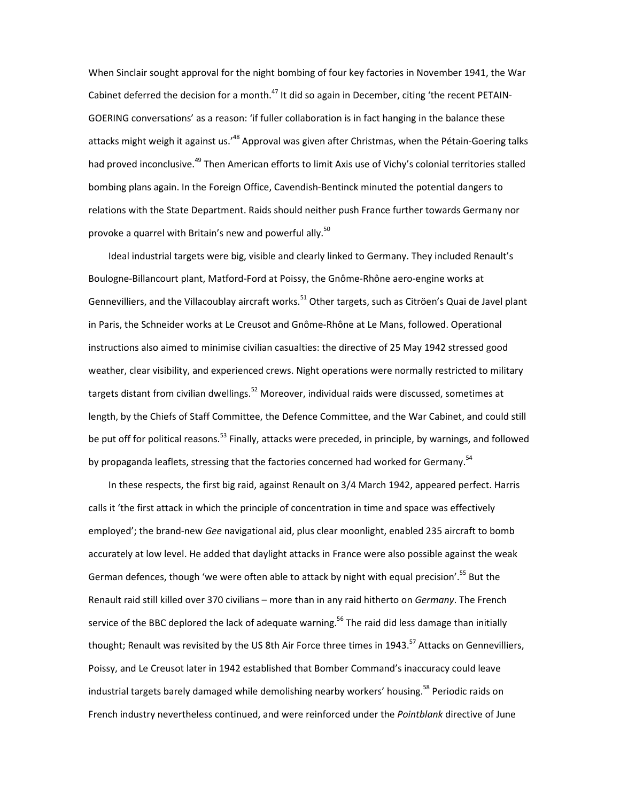When Sinclair sought approval for the night bombing of four key factories in November 1941, the War Cabinet deferred the decision for a month.<sup>47</sup> It did so again in December, citing 'the recent PETAIN-GOERING conversations' as a reason: 'if fuller collaboration is in fact hanging in the balance these attacks might weigh it against us.<sup>18</sup> Approval was given after Christmas, when the Pétain-Goering talks had proved inconclusive.<sup>49</sup> Then American efforts to limit Axis use of Vichy's colonial territories stalled bombing plans again. In the Foreign Office, Cavendish-Bentinck minuted the potential dangers to relations with the State Department. Raids should neither push France further towards Germany nor provoke a quarrel with Britain's new and powerful ally.<sup>50</sup>

Ideal industrial targets were big, visible and clearly linked to Germany. They included Renault's Boulogne-Billancourt plant, Matford-Ford at Poissy, the Gnôme-Rhône aero-engine works at Gennevilliers, and the Villacoublay aircraft works.<sup>51</sup> Other targets, such as Citröen's Quai de Javel plant in Paris, the Schneider works at Le Creusot and Gnôme-Rhône at Le Mans, followed. Operational instructions also aimed to minimise civilian casualties: the directive of 25 May 1942 stressed good weather, clear visibility, and experienced crews. Night operations were normally restricted to military targets distant from civilian dwellings.<sup>52</sup> Moreover, individual raids were discussed, sometimes at length, by the Chiefs of Staff Committee, the Defence Committee, and the War Cabinet, and could still be put off for political reasons.<sup>53</sup> Finally, attacks were preceded, in principle, by warnings, and followed by propaganda leaflets, stressing that the factories concerned had worked for Germany.<sup>54</sup>

In these respects, the first big raid, against Renault on 3/4 March 1942, appeared perfect. Harris calls it 'the first attack in which the principle of concentration in time and space was effectively employed'; the brand-new Gee navigational aid, plus clear moonlight, enabled 235 aircraft to bomb accurately at low level. He added that daylight attacks in France were also possible against the weak German defences, though 'we were often able to attack by night with equal precision'.<sup>55</sup> But the Renault raid still killed over 370 civilians – more than in any raid hitherto on Germany. The French service of the BBC deplored the lack of adequate warning.<sup>56</sup> The raid did less damage than initially thought; Renault was revisited by the US 8th Air Force three times in 1943.<sup>57</sup> Attacks on Gennevilliers, Poissy, and Le Creusot later in 1942 established that Bomber Command's inaccuracy could leave industrial targets barely damaged while demolishing nearby workers' housing.<sup>58</sup> Periodic raids on French industry nevertheless continued, and were reinforced under the Pointblank directive of June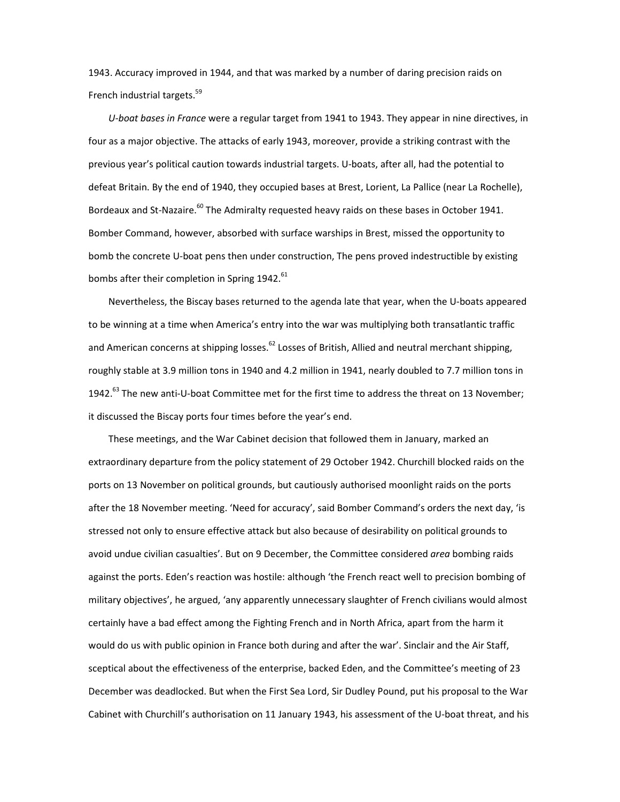1943. Accuracy improved in 1944, and that was marked by a number of daring precision raids on French industrial targets.<sup>59</sup>

U-boat bases in France were a regular target from 1941 to 1943. They appear in nine directives, in four as a major objective. The attacks of early 1943, moreover, provide a striking contrast with the previous year's political caution towards industrial targets. U-boats, after all, had the potential to defeat Britain. By the end of 1940, they occupied bases at Brest, Lorient, La Pallice (near La Rochelle), Bordeaux and St-Nazaire.<sup>60</sup> The Admiralty requested heavy raids on these bases in October 1941. Bomber Command, however, absorbed with surface warships in Brest, missed the opportunity to bomb the concrete U-boat pens then under construction, The pens proved indestructible by existing bombs after their completion in Spring 1942. $^{61}$ 

Nevertheless, the Biscay bases returned to the agenda late that year, when the U-boats appeared to be winning at a time when America's entry into the war was multiplying both transatlantic traffic and American concerns at shipping losses.<sup>62</sup> Losses of British, Allied and neutral merchant shipping, roughly stable at 3.9 million tons in 1940 and 4.2 million in 1941, nearly doubled to 7.7 million tons in 1942.<sup>63</sup> The new anti-U-boat Committee met for the first time to address the threat on 13 November; it discussed the Biscay ports four times before the year's end.

These meetings, and the War Cabinet decision that followed them in January, marked an extraordinary departure from the policy statement of 29 October 1942. Churchill blocked raids on the ports on 13 November on political grounds, but cautiously authorised moonlight raids on the ports after the 18 November meeting. 'Need for accuracy', said Bomber Command's orders the next day, 'is stressed not only to ensure effective attack but also because of desirability on political grounds to avoid undue civilian casualties'. But on 9 December, the Committee considered area bombing raids against the ports. Eden's reaction was hostile: although 'the French react well to precision bombing of military objectives', he argued, 'any apparently unnecessary slaughter of French civilians would almost certainly have a bad effect among the Fighting French and in North Africa, apart from the harm it would do us with public opinion in France both during and after the war'. Sinclair and the Air Staff, sceptical about the effectiveness of the enterprise, backed Eden, and the Committee's meeting of 23 December was deadlocked. But when the First Sea Lord, Sir Dudley Pound, put his proposal to the War Cabinet with Churchill's authorisation on 11 January 1943, his assessment of the U-boat threat, and his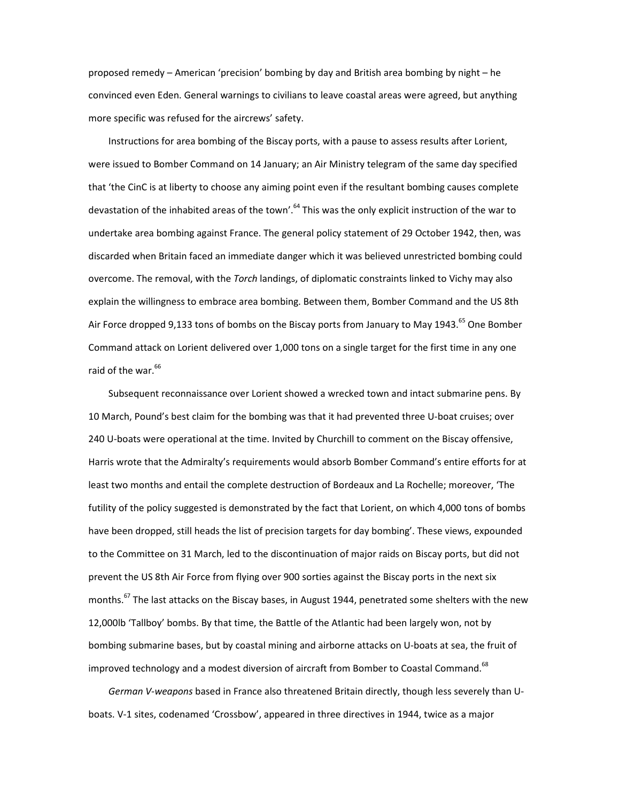proposed remedy – American 'precision' bombing by day and British area bombing by night – he convinced even Eden. General warnings to civilians to leave coastal areas were agreed, but anything more specific was refused for the aircrews' safety.

Instructions for area bombing of the Biscay ports, with a pause to assess results after Lorient, were issued to Bomber Command on 14 January; an Air Ministry telegram of the same day specified that 'the CinC is at liberty to choose any aiming point even if the resultant bombing causes complete devastation of the inhabited areas of the town'.<sup>64</sup> This was the only explicit instruction of the war to undertake area bombing against France. The general policy statement of 29 October 1942, then, was discarded when Britain faced an immediate danger which it was believed unrestricted bombing could overcome. The removal, with the Torch landings, of diplomatic constraints linked to Vichy may also explain the willingness to embrace area bombing. Between them, Bomber Command and the US 8th Air Force dropped 9,133 tons of bombs on the Biscay ports from January to May 1943.<sup>65</sup> One Bomber Command attack on Lorient delivered over 1,000 tons on a single target for the first time in any one raid of the war.<sup>66</sup>

Subsequent reconnaissance over Lorient showed a wrecked town and intact submarine pens. By 10 March, Pound's best claim for the bombing was that it had prevented three U-boat cruises; over 240 U-boats were operational at the time. Invited by Churchill to comment on the Biscay offensive, Harris wrote that the Admiralty's requirements would absorb Bomber Command's entire efforts for at least two months and entail the complete destruction of Bordeaux and La Rochelle; moreover, 'The futility of the policy suggested is demonstrated by the fact that Lorient, on which 4,000 tons of bombs have been dropped, still heads the list of precision targets for day bombing'. These views, expounded to the Committee on 31 March, led to the discontinuation of major raids on Biscay ports, but did not prevent the US 8th Air Force from flying over 900 sorties against the Biscay ports in the next six months.<sup>67</sup> The last attacks on the Biscay bases, in August 1944, penetrated some shelters with the new 12,000lb 'Tallboy' bombs. By that time, the Battle of the Atlantic had been largely won, not by bombing submarine bases, but by coastal mining and airborne attacks on U-boats at sea, the fruit of improved technology and a modest diversion of aircraft from Bomber to Coastal Command. $^{68}$ 

German V-weapons based in France also threatened Britain directly, though less severely than Uboats. V-1 sites, codenamed 'Crossbow', appeared in three directives in 1944, twice as a major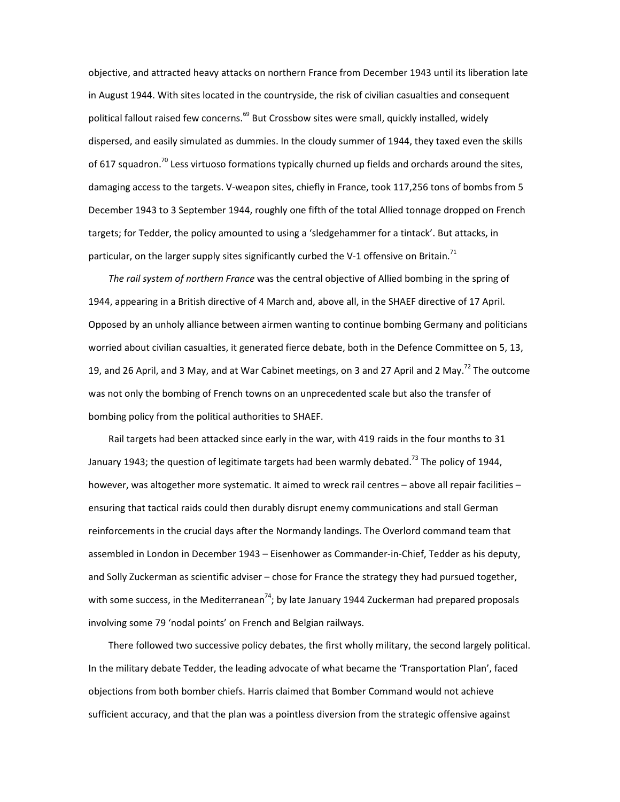objective, and attracted heavy attacks on northern France from December 1943 until its liberation late in August 1944. With sites located in the countryside, the risk of civilian casualties and consequent political fallout raised few concerns.<sup>69</sup> But Crossbow sites were small, quickly installed, widely dispersed, and easily simulated as dummies. In the cloudy summer of 1944, they taxed even the skills of 617 squadron.<sup>70</sup> Less virtuoso formations typically churned up fields and orchards around the sites, damaging access to the targets. V-weapon sites, chiefly in France, took 117,256 tons of bombs from 5 December 1943 to 3 September 1944, roughly one fifth of the total Allied tonnage dropped on French targets; for Tedder, the policy amounted to using a 'sledgehammer for a tintack'. But attacks, in particular, on the larger supply sites significantly curbed the V-1 offensive on Britain.<sup>71</sup>

The rail system of northern France was the central objective of Allied bombing in the spring of 1944, appearing in a British directive of 4 March and, above all, in the SHAEF directive of 17 April. Opposed by an unholy alliance between airmen wanting to continue bombing Germany and politicians worried about civilian casualties, it generated fierce debate, both in the Defence Committee on 5, 13, 19, and 26 April, and 3 May, and at War Cabinet meetings, on 3 and 27 April and 2 May.<sup>72</sup> The outcome was not only the bombing of French towns on an unprecedented scale but also the transfer of bombing policy from the political authorities to SHAEF.

Rail targets had been attacked since early in the war, with 419 raids in the four months to 31 January 1943; the question of legitimate targets had been warmly debated.<sup>73</sup> The policy of 1944, however, was altogether more systematic. It aimed to wreck rail centres - above all repair facilities ensuring that tactical raids could then durably disrupt enemy communications and stall German reinforcements in the crucial days after the Normandy landings. The Overlord command team that assembled in London in December 1943 – Eisenhower as Commander-in-Chief, Tedder as his deputy, and Solly Zuckerman as scientific adviser – chose for France the strategy they had pursued together, with some success, in the Mediterranean<sup>74</sup>; by late January 1944 Zuckerman had prepared proposals involving some 79 'nodal points' on French and Belgian railways.

There followed two successive policy debates, the first wholly military, the second largely political. In the military debate Tedder, the leading advocate of what became the 'Transportation Plan', faced objections from both bomber chiefs. Harris claimed that Bomber Command would not achieve sufficient accuracy, and that the plan was a pointless diversion from the strategic offensive against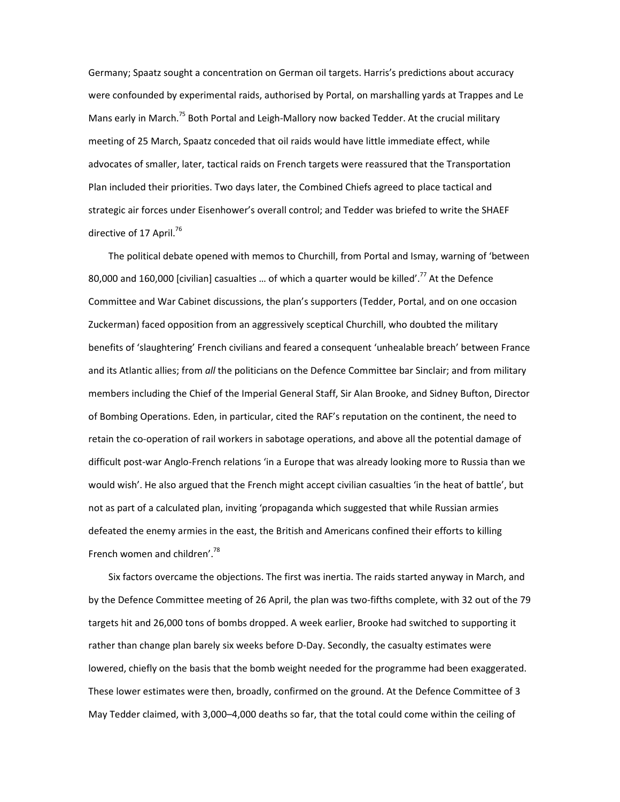Germany; Spaatz sought a concentration on German oil targets. Harris's predictions about accuracy were confounded by experimental raids, authorised by Portal, on marshalling yards at Trappes and Le Mans early in March.<sup>75</sup> Both Portal and Leigh-Mallory now backed Tedder. At the crucial military meeting of 25 March, Spaatz conceded that oil raids would have little immediate effect, while advocates of smaller, later, tactical raids on French targets were reassured that the Transportation Plan included their priorities. Two days later, the Combined Chiefs agreed to place tactical and strategic air forces under Eisenhower's overall control; and Tedder was briefed to write the SHAEF directive of 17 April.<sup>76</sup>

The political debate opened with memos to Churchill, from Portal and Ismay, warning of 'between 80,000 and 160,000 [civilian] casualties ... of which a quarter would be killed'.<sup>77</sup> At the Defence Committee and War Cabinet discussions, the plan's supporters (Tedder, Portal, and on one occasion Zuckerman) faced opposition from an aggressively sceptical Churchill, who doubted the military benefits of 'slaughtering' French civilians and feared a consequent 'unhealable breach' between France and its Atlantic allies; from all the politicians on the Defence Committee bar Sinclair; and from military members including the Chief of the Imperial General Staff, Sir Alan Brooke, and Sidney Bufton, Director of Bombing Operations. Eden, in particular, cited the RAF's reputation on the continent, the need to retain the co-operation of rail workers in sabotage operations, and above all the potential damage of difficult post-war Anglo-French relations 'in a Europe that was already looking more to Russia than we would wish'. He also argued that the French might accept civilian casualties 'in the heat of battle', but not as part of a calculated plan, inviting 'propaganda which suggested that while Russian armies defeated the enemy armies in the east, the British and Americans confined their efforts to killing French women and children'.<sup>78</sup>

Six factors overcame the objections. The first was inertia. The raids started anyway in March, and by the Defence Committee meeting of 26 April, the plan was two-fifths complete, with 32 out of the 79 targets hit and 26,000 tons of bombs dropped. A week earlier, Brooke had switched to supporting it rather than change plan barely six weeks before D-Day. Secondly, the casualty estimates were lowered, chiefly on the basis that the bomb weight needed for the programme had been exaggerated. These lower estimates were then, broadly, confirmed on the ground. At the Defence Committee of 3 May Tedder claimed, with 3,000–4,000 deaths so far, that the total could come within the ceiling of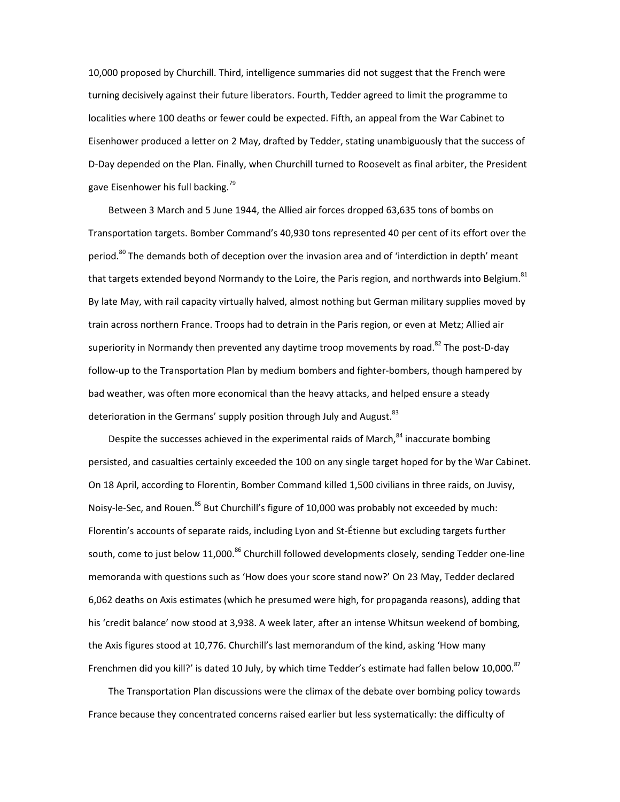10,000 proposed by Churchill. Third, intelligence summaries did not suggest that the French were turning decisively against their future liberators. Fourth, Tedder agreed to limit the programme to localities where 100 deaths or fewer could be expected. Fifth, an appeal from the War Cabinet to Eisenhower produced a letter on 2 May, drafted by Tedder, stating unambiguously that the success of D-Day depended on the Plan. Finally, when Churchill turned to Roosevelt as final arbiter, the President gave Eisenhower his full backing.<sup>79</sup>

Between 3 March and 5 June 1944, the Allied air forces dropped 63,635 tons of bombs on Transportation targets. Bomber Command's 40,930 tons represented 40 per cent of its effort over the period.<sup>80</sup> The demands both of deception over the invasion area and of 'interdiction in depth' meant that targets extended beyond Normandy to the Loire, the Paris region, and northwards into Belgium.<sup>81</sup> By late May, with rail capacity virtually halved, almost nothing but German military supplies moved by train across northern France. Troops had to detrain in the Paris region, or even at Metz; Allied air superiority in Normandy then prevented any daytime troop movements by road.<sup>82</sup> The post-D-day follow-up to the Transportation Plan by medium bombers and fighter-bombers, though hampered by bad weather, was often more economical than the heavy attacks, and helped ensure a steady deterioration in the Germans' supply position through July and August.  $83$ 

Despite the successes achieved in the experimental raids of March, $84$  inaccurate bombing persisted, and casualties certainly exceeded the 100 on any single target hoped for by the War Cabinet. On 18 April, according to Florentin, Bomber Command killed 1,500 civilians in three raids, on Juvisy, Noisy-le-Sec, and Rouen.<sup>85</sup> But Churchill's figure of 10,000 was probably not exceeded by much: Florentin's accounts of separate raids, including Lyon and St-Étienne but excluding targets further south, come to just below 11,000.<sup>86</sup> Churchill followed developments closely, sending Tedder one-line memoranda with questions such as 'How does your score stand now?' On 23 May, Tedder declared 6,062 deaths on Axis estimates (which he presumed were high, for propaganda reasons), adding that his 'credit balance' now stood at 3,938. A week later, after an intense Whitsun weekend of bombing, the Axis figures stood at 10,776. Churchill's last memorandum of the kind, asking 'How many Frenchmen did you kill?' is dated 10 July, by which time Tedder's estimate had fallen below 10.000.<sup>87</sup>

The Transportation Plan discussions were the climax of the debate over bombing policy towards France because they concentrated concerns raised earlier but less systematically: the difficulty of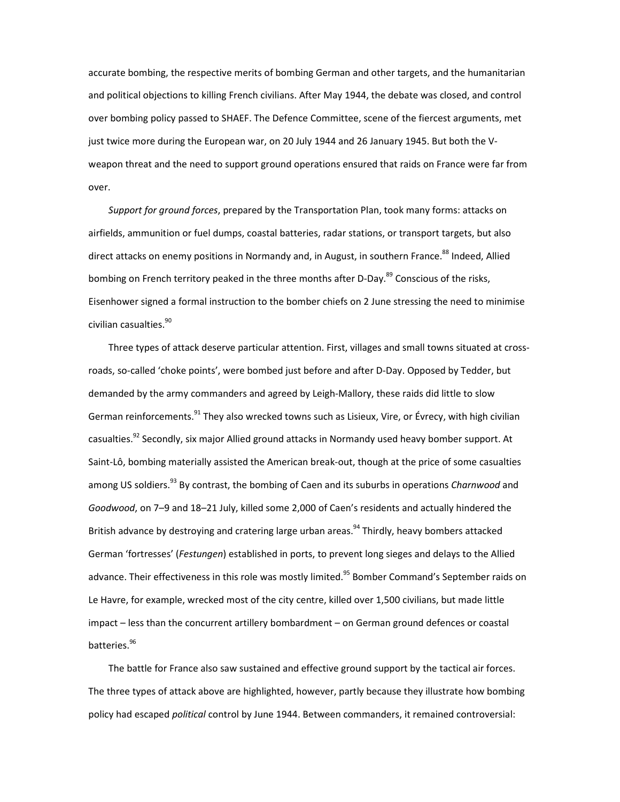accurate bombing, the respective merits of bombing German and other targets, and the humanitarian and political objections to killing French civilians. After May 1944, the debate was closed, and control over bombing policy passed to SHAEF. The Defence Committee, scene of the fiercest arguments, met just twice more during the European war, on 20 July 1944 and 26 January 1945. But both the Vweapon threat and the need to support ground operations ensured that raids on France were far from over.

Support for ground forces, prepared by the Transportation Plan, took many forms: attacks on airfields, ammunition or fuel dumps, coastal batteries, radar stations, or transport targets, but also direct attacks on enemy positions in Normandy and, in August, in southern France.<sup>88</sup> Indeed, Allied bombing on French territory peaked in the three months after D-Day.<sup>89</sup> Conscious of the risks, Eisenhower signed a formal instruction to the bomber chiefs on 2 June stressing the need to minimise civilian casualties.<sup>90</sup>

Three types of attack deserve particular attention. First, villages and small towns situated at crossroads, so-called 'choke points', were bombed just before and after D-Day. Opposed by Tedder, but demanded by the army commanders and agreed by Leigh-Mallory, these raids did little to slow German reinforcements.<sup>91</sup> They also wrecked towns such as Lisieux, Vire, or Évrecy, with high civilian casualties.<sup>92</sup> Secondly, six major Allied ground attacks in Normandy used heavy bomber support. At Saint-Lô, bombing materially assisted the American break-out, though at the price of some casualties among US soldiers.<sup>93</sup> By contrast, the bombing of Caen and its suburbs in operations *Charnwood* and Goodwood, on 7–9 and 18–21 July, killed some 2,000 of Caen's residents and actually hindered the British advance by destroying and cratering large urban areas.<sup>94</sup> Thirdly, heavy bombers attacked German 'fortresses' (Festungen) established in ports, to prevent long sieges and delays to the Allied advance. Their effectiveness in this role was mostly limited.<sup>95</sup> Bomber Command's September raids on Le Havre, for example, wrecked most of the city centre, killed over 1,500 civilians, but made little impact – less than the concurrent artillery bombardment – on German ground defences or coastal batteries.<sup>96</sup>

The battle for France also saw sustained and effective ground support by the tactical air forces. The three types of attack above are highlighted, however, partly because they illustrate how bombing policy had escaped political control by June 1944. Between commanders, it remained controversial: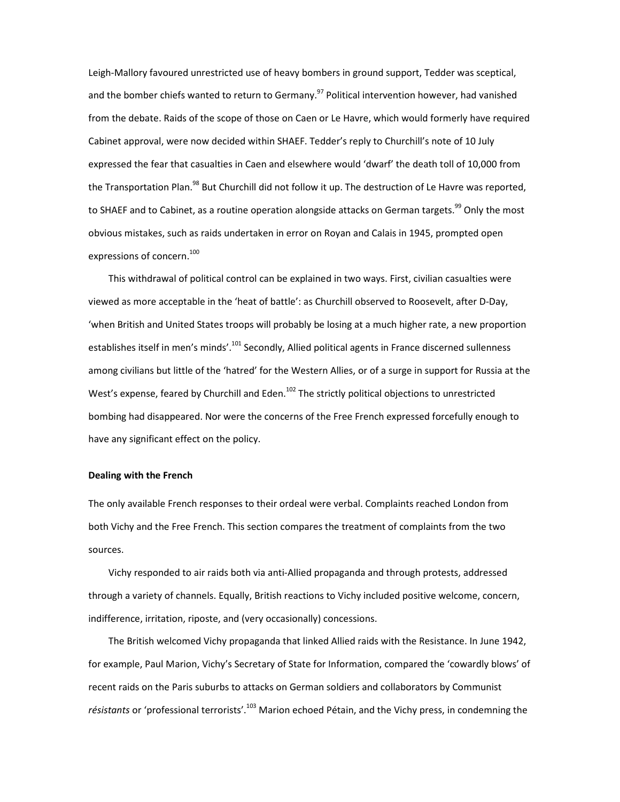Leigh-Mallory favoured unrestricted use of heavy bombers in ground support, Tedder was sceptical, and the bomber chiefs wanted to return to Germany.<sup>97</sup> Political intervention however, had vanished from the debate. Raids of the scope of those on Caen or Le Havre, which would formerly have required Cabinet approval, were now decided within SHAEF. Tedder's reply to Churchill's note of 10 July expressed the fear that casualties in Caen and elsewhere would 'dwarf' the death toll of 10,000 from the Transportation Plan.<sup>98</sup> But Churchill did not follow it up. The destruction of Le Havre was reported, to SHAEF and to Cabinet, as a routine operation alongside attacks on German targets.<sup>99</sup> Only the most obvious mistakes, such as raids undertaken in error on Royan and Calais in 1945, prompted open expressions of concern.<sup>100</sup>

This withdrawal of political control can be explained in two ways. First, civilian casualties were viewed as more acceptable in the 'heat of battle': as Churchill observed to Roosevelt, after D-Day, 'when British and United States troops will probably be losing at a much higher rate, a new proportion establishes itself in men's minds'.<sup>101</sup> Secondly, Allied political agents in France discerned sullenness among civilians but little of the 'hatred' for the Western Allies, or of a surge in support for Russia at the West's expense, feared by Churchill and Eden.<sup>102</sup> The strictly political objections to unrestricted bombing had disappeared. Nor were the concerns of the Free French expressed forcefully enough to have any significant effect on the policy.

#### Dealing with the French

The only available French responses to their ordeal were verbal. Complaints reached London from both Vichy and the Free French. This section compares the treatment of complaints from the two sources.

Vichy responded to air raids both via anti-Allied propaganda and through protests, addressed through a variety of channels. Equally, British reactions to Vichy included positive welcome, concern, indifference, irritation, riposte, and (very occasionally) concessions.

The British welcomed Vichy propaganda that linked Allied raids with the Resistance. In June 1942, for example, Paul Marion, Vichy's Secretary of State for Information, compared the 'cowardly blows' of recent raids on the Paris suburbs to attacks on German soldiers and collaborators by Communist résistants or 'professional terrorists'.<sup>103</sup> Marion echoed Pétain, and the Vichy press, in condemning the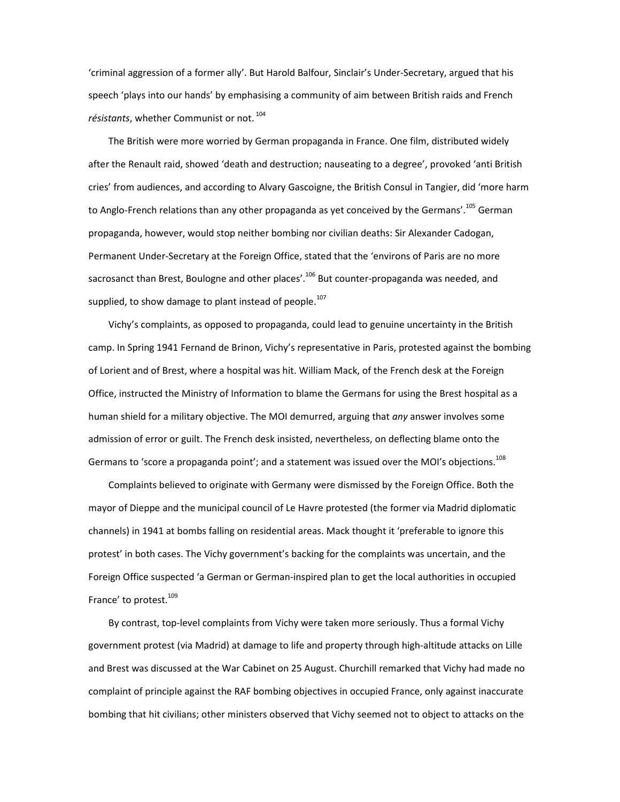'criminal aggression of a former ally'. But Harold Balfour, Sinclair's Under-Secretary, argued that his speech 'plays into our hands' by emphasising a community of aim between British raids and French résistants, whether Communist or not.<sup>104</sup>

The British were more worried by German propaganda in France. One film, distributed widely after the Renault raid, showed 'death and destruction; nauseating to a degree', provoked 'anti British cries' from audiences, and according to Alvary Gascoigne, the British Consul in Tangier, did 'more harm to Anglo-French relations than any other propaganda as yet conceived by the Germans'.<sup>105</sup> German propaganda, however, would stop neither bombing nor civilian deaths: Sir Alexander Cadogan, Permanent Under-Secretary at the Foreign Office, stated that the 'environs of Paris are no more sacrosanct than Brest, Boulogne and other places'.<sup>106</sup> But counter-propaganda was needed, and supplied, to show damage to plant instead of people.<sup>107</sup>

Vichy's complaints, as opposed to propaganda, could lead to genuine uncertainty in the British camp. In Spring 1941 Fernand de Brinon, Vichy's representative in Paris, protested against the bombing of Lorient and of Brest, where a hospital was hit. William Mack, of the French desk at the Foreign Office, instructed the Ministry of Information to blame the Germans for using the Brest hospital as a human shield for a military objective. The MOI demurred, arguing that any answer involves some admission of error or guilt. The French desk insisted, nevertheless, on deflecting blame onto the Germans to 'score a propaganda point'; and a statement was issued over the MOI's objections.<sup>108</sup>

Complaints believed to originate with Germany were dismissed by the Foreign Office. Both the mayor of Dieppe and the municipal council of Le Havre protested (the former via Madrid diplomatic channels) in 1941 at bombs falling on residential areas. Mack thought it 'preferable to ignore this protest' in both cases. The Vichy government's backing for the complaints was uncertain, and the Foreign Office suspected 'a German or German-inspired plan to get the local authorities in occupied France' to protest.<sup>109</sup>

By contrast, top-level complaints from Vichy were taken more seriously. Thus a formal Vichy government protest (via Madrid) at damage to life and property through high-altitude attacks on Lille and Brest was discussed at the War Cabinet on 25 August. Churchill remarked that Vichy had made no complaint of principle against the RAF bombing objectives in occupied France, only against inaccurate bombing that hit civilians; other ministers observed that Vichy seemed not to object to attacks on the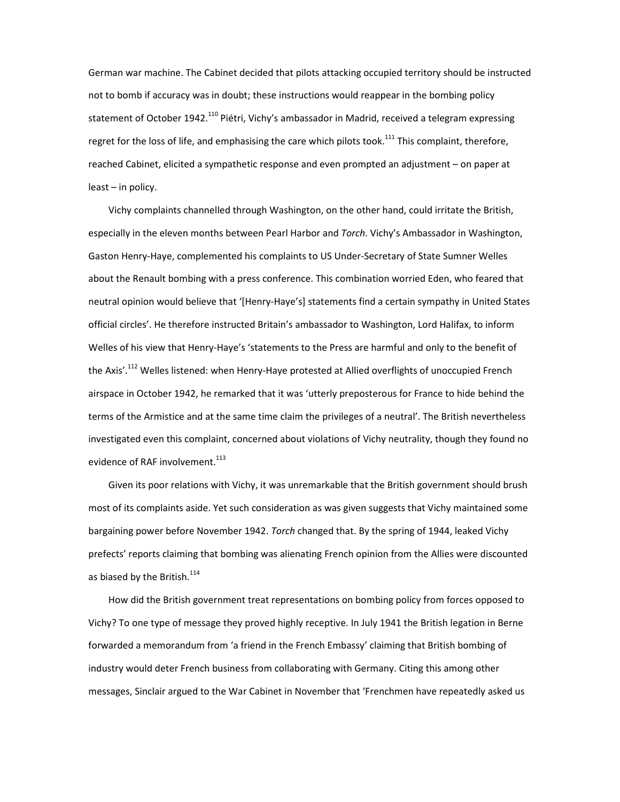German war machine. The Cabinet decided that pilots attacking occupied territory should be instructed not to bomb if accuracy was in doubt; these instructions would reappear in the bombing policy statement of October 1942.<sup>110</sup> Piétri, Vichy's ambassador in Madrid, received a telegram expressing regret for the loss of life, and emphasising the care which pilots took.<sup>111</sup> This complaint, therefore, reached Cabinet, elicited a sympathetic response and even prompted an adjustment – on paper at least – in policy.

Vichy complaints channelled through Washington, on the other hand, could irritate the British, especially in the eleven months between Pearl Harbor and Torch. Vichy's Ambassador in Washington, Gaston Henry-Haye, complemented his complaints to US Under-Secretary of State Sumner Welles about the Renault bombing with a press conference. This combination worried Eden, who feared that neutral opinion would believe that '[Henry-Haye's] statements find a certain sympathy in United States official circles'. He therefore instructed Britain's ambassador to Washington, Lord Halifax, to inform Welles of his view that Henry-Haye's 'statements to the Press are harmful and only to the benefit of the Axis'.<sup>112</sup> Welles listened: when Henry-Haye protested at Allied overflights of unoccupied French airspace in October 1942, he remarked that it was 'utterly preposterous for France to hide behind the terms of the Armistice and at the same time claim the privileges of a neutral'. The British nevertheless investigated even this complaint, concerned about violations of Vichy neutrality, though they found no evidence of RAF involvement.<sup>113</sup>

Given its poor relations with Vichy, it was unremarkable that the British government should brush most of its complaints aside. Yet such consideration as was given suggests that Vichy maintained some bargaining power before November 1942. Torch changed that. By the spring of 1944, leaked Vichy prefects' reports claiming that bombing was alienating French opinion from the Allies were discounted as biased by the British. $^{114}$ 

How did the British government treat representations on bombing policy from forces opposed to Vichy? To one type of message they proved highly receptive. In July 1941 the British legation in Berne forwarded a memorandum from 'a friend in the French Embassy' claiming that British bombing of industry would deter French business from collaborating with Germany. Citing this among other messages, Sinclair argued to the War Cabinet in November that 'Frenchmen have repeatedly asked us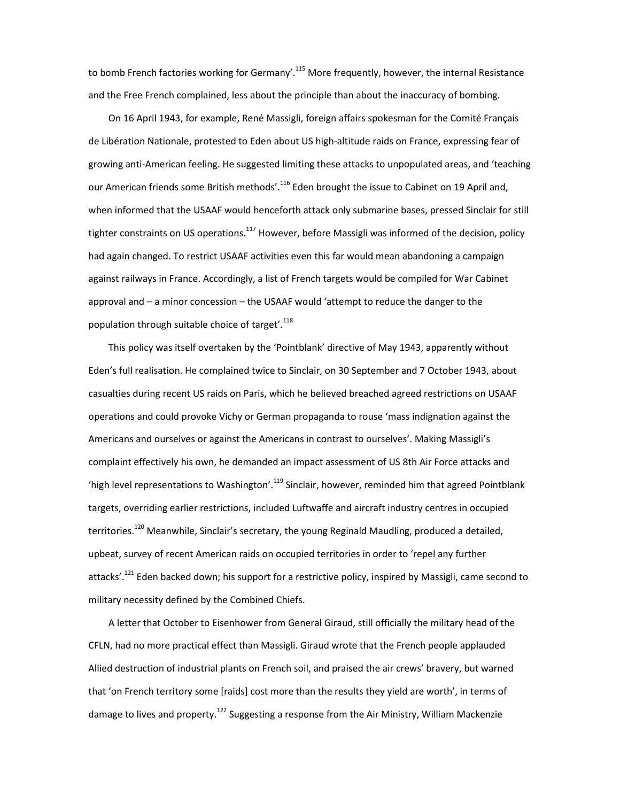to bomb French factories working for Germany'.<sup>115</sup> More frequently, however, the internal Resistance and the Free French complained, less about the principle than about the inaccuracy of bombing.

On 16 April 1943, for example, René Massigli, foreign affairs spokesman for the Comité Français de Libération Nationale, protested to Eden about US high-altitude raids on France, expressing fear of growing anti-American feeling. He suggested limiting these attacks to unpopulated areas, and 'teaching our American friends some British methods'.<sup>116</sup> Eden brought the issue to Cabinet on 19 April and, when informed that the USAAF would henceforth attack only submarine bases, pressed Sinclair for still tighter constraints on US operations.<sup>117</sup> However, before Massigli was informed of the decision, policy had again changed. To restrict USAAF activities even this far would mean abandoning a campaign against railways in France. Accordingly, a list of French targets would be compiled for War Cabinet approval and – a minor concession – the USAAF would 'attempt to reduce the danger to the population through suitable choice of target'.<sup>118</sup>

This policy was itself overtaken by the 'Pointblank' directive of May 1943, apparently without Eden's full realisation. He complained twice to Sinclair, on 30 September and 7 October 1943, about casualties during recent US raids on Paris, which he believed breached agreed restrictions on USAAF operations and could provoke Vichy or German propaganda to rouse 'mass indignation against the Americans and ourselves or against the Americans in contrast to ourselves'. Making Massigli's complaint effectively his own, he demanded an impact assessment of US 8th Air Force attacks and 'high level representations to Washington'.<sup>119</sup> Sinclair, however, reminded him that agreed Pointblank targets, overriding earlier restrictions, included Luftwaffe and aircraft industry centres in occupied territories.<sup>120</sup> Meanwhile, Sinclair's secretary, the young Reginald Maudling, produced a detailed, upbeat, survey of recent American raids on occupied territories in order to 'repel any further attacks'.<sup>121</sup> Eden backed down; his support for a restrictive policy, inspired by Massigli, came second to military necessity defined by the Combined Chiefs.

A letter that October to Eisenhower from General Giraud, still officially the military head of the CFLN, had no more practical effect than Massigli. Giraud wrote that the French people applauded Allied destruction of industrial plants on French soil, and praised the air crews' bravery, but warned that 'on French territory some [raids] cost more than the results they yield are worth', in terms of damage to lives and property.<sup>122</sup> Suggesting a response from the Air Ministry, William Mackenzie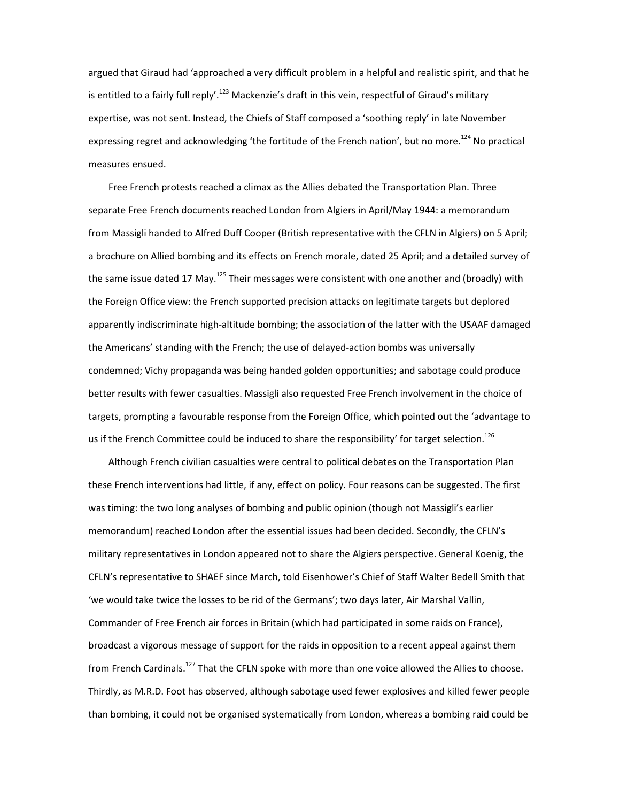argued that Giraud had 'approached a very difficult problem in a helpful and realistic spirit, and that he is entitled to a fairly full reply'.<sup>123</sup> Mackenzie's draft in this vein, respectful of Giraud's military expertise, was not sent. Instead, the Chiefs of Staff composed a 'soothing reply' in late November expressing regret and acknowledging 'the fortitude of the French nation', but no more.<sup>124</sup> No practical measures ensued.

Free French protests reached a climax as the Allies debated the Transportation Plan. Three separate Free French documents reached London from Algiers in April/May 1944: a memorandum from Massigli handed to Alfred Duff Cooper (British representative with the CFLN in Algiers) on 5 April; a brochure on Allied bombing and its effects on French morale, dated 25 April; and a detailed survey of the same issue dated 17 May.<sup>125</sup> Their messages were consistent with one another and (broadly) with the Foreign Office view: the French supported precision attacks on legitimate targets but deplored apparently indiscriminate high-altitude bombing; the association of the latter with the USAAF damaged the Americans' standing with the French; the use of delayed-action bombs was universally condemned; Vichy propaganda was being handed golden opportunities; and sabotage could produce better results with fewer casualties. Massigli also requested Free French involvement in the choice of targets, prompting a favourable response from the Foreign Office, which pointed out the 'advantage to us if the French Committee could be induced to share the responsibility' for target selection.<sup>126</sup>

Although French civilian casualties were central to political debates on the Transportation Plan these French interventions had little, if any, effect on policy. Four reasons can be suggested. The first was timing: the two long analyses of bombing and public opinion (though not Massigli's earlier memorandum) reached London after the essential issues had been decided. Secondly, the CFLN's military representatives in London appeared not to share the Algiers perspective. General Koenig, the CFLN's representative to SHAEF since March, told Eisenhower's Chief of Staff Walter Bedell Smith that 'we would take twice the losses to be rid of the Germans'; two days later, Air Marshal Vallin, Commander of Free French air forces in Britain (which had participated in some raids on France), broadcast a vigorous message of support for the raids in opposition to a recent appeal against them from French Cardinals.<sup>127</sup> That the CFLN spoke with more than one voice allowed the Allies to choose. Thirdly, as M.R.D. Foot has observed, although sabotage used fewer explosives and killed fewer people than bombing, it could not be organised systematically from London, whereas a bombing raid could be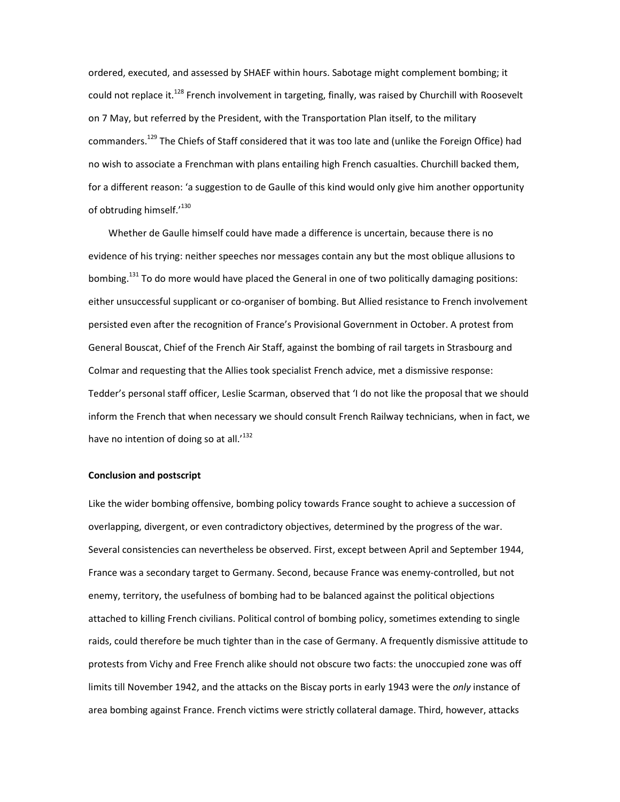ordered, executed, and assessed by SHAEF within hours. Sabotage might complement bombing; it could not replace it.<sup>128</sup> French involvement in targeting, finally, was raised by Churchill with Roosevelt on 7 May, but referred by the President, with the Transportation Plan itself, to the military commanders.<sup>129</sup> The Chiefs of Staff considered that it was too late and (unlike the Foreign Office) had no wish to associate a Frenchman with plans entailing high French casualties. Churchill backed them, for a different reason: 'a suggestion to de Gaulle of this kind would only give him another opportunity of obtruding himself.'<sup>130</sup>

Whether de Gaulle himself could have made a difference is uncertain, because there is no evidence of his trying: neither speeches nor messages contain any but the most oblique allusions to bombing.<sup>131</sup> To do more would have placed the General in one of two politically damaging positions: either unsuccessful supplicant or co-organiser of bombing. But Allied resistance to French involvement persisted even after the recognition of France's Provisional Government in October. A protest from General Bouscat, Chief of the French Air Staff, against the bombing of rail targets in Strasbourg and Colmar and requesting that the Allies took specialist French advice, met a dismissive response: Tedder's personal staff officer, Leslie Scarman, observed that 'I do not like the proposal that we should inform the French that when necessary we should consult French Railway technicians, when in fact, we have no intention of doing so at all.<sup>132</sup>

#### Conclusion and postscript

Like the wider bombing offensive, bombing policy towards France sought to achieve a succession of overlapping, divergent, or even contradictory objectives, determined by the progress of the war. Several consistencies can nevertheless be observed. First, except between April and September 1944, France was a secondary target to Germany. Second, because France was enemy-controlled, but not enemy, territory, the usefulness of bombing had to be balanced against the political objections attached to killing French civilians. Political control of bombing policy, sometimes extending to single raids, could therefore be much tighter than in the case of Germany. A frequently dismissive attitude to protests from Vichy and Free French alike should not obscure two facts: the unoccupied zone was off limits till November 1942, and the attacks on the Biscay ports in early 1943 were the only instance of area bombing against France. French victims were strictly collateral damage. Third, however, attacks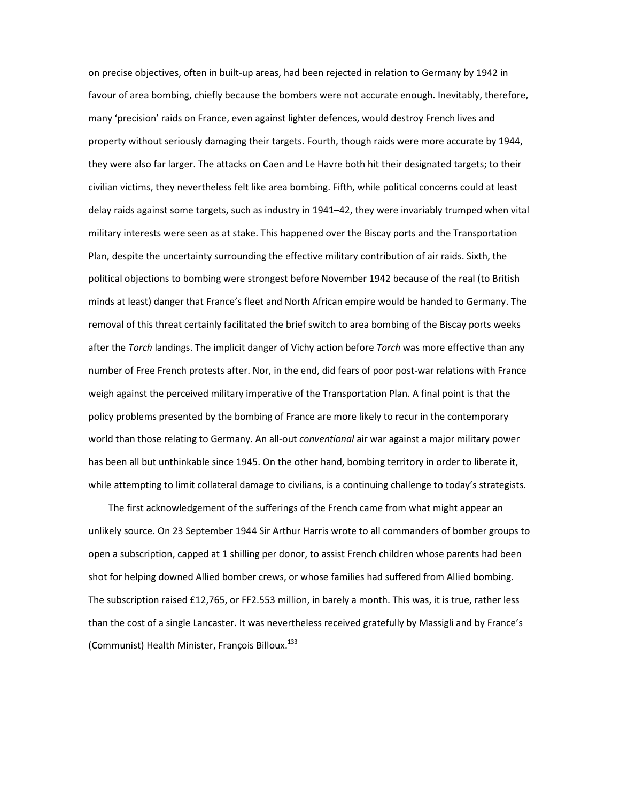on precise objectives, often in built-up areas, had been rejected in relation to Germany by 1942 in favour of area bombing, chiefly because the bombers were not accurate enough. Inevitably, therefore, many 'precision' raids on France, even against lighter defences, would destroy French lives and property without seriously damaging their targets. Fourth, though raids were more accurate by 1944, they were also far larger. The attacks on Caen and Le Havre both hit their designated targets; to their civilian victims, they nevertheless felt like area bombing. Fifth, while political concerns could at least delay raids against some targets, such as industry in 1941–42, they were invariably trumped when vital military interests were seen as at stake. This happened over the Biscay ports and the Transportation Plan, despite the uncertainty surrounding the effective military contribution of air raids. Sixth, the political objections to bombing were strongest before November 1942 because of the real (to British minds at least) danger that France's fleet and North African empire would be handed to Germany. The removal of this threat certainly facilitated the brief switch to area bombing of the Biscay ports weeks after the Torch landings. The implicit danger of Vichy action before Torch was more effective than any number of Free French protests after. Nor, in the end, did fears of poor post-war relations with France weigh against the perceived military imperative of the Transportation Plan. A final point is that the policy problems presented by the bombing of France are more likely to recur in the contemporary world than those relating to Germany. An all-out conventional air war against a major military power has been all but unthinkable since 1945. On the other hand, bombing territory in order to liberate it, while attempting to limit collateral damage to civilians, is a continuing challenge to today's strategists.

The first acknowledgement of the sufferings of the French came from what might appear an unlikely source. On 23 September 1944 Sir Arthur Harris wrote to all commanders of bomber groups to open a subscription, capped at 1 shilling per donor, to assist French children whose parents had been shot for helping downed Allied bomber crews, or whose families had suffered from Allied bombing. The subscription raised £12,765, or FF2.553 million, in barely a month. This was, it is true, rather less than the cost of a single Lancaster. It was nevertheless received gratefully by Massigli and by France's (Communist) Health Minister, François Billoux.<sup>133</sup>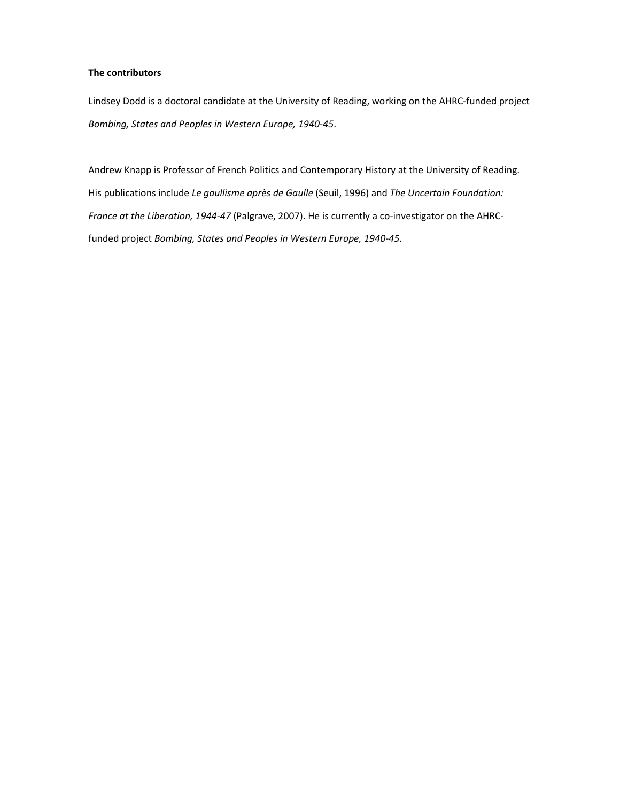### The contributors

Lindsey Dodd is a doctoral candidate at the University of Reading, working on the AHRC-funded project Bombing, States and Peoples in Western Europe, 1940-45.

Andrew Knapp is Professor of French Politics and Contemporary History at the University of Reading. His publications include Le gaullisme après de Gaulle (Seuil, 1996) and The Uncertain Foundation: France at the Liberation, 1944-47 (Palgrave, 2007). He is currently a co-investigator on the AHRCfunded project Bombing, States and Peoples in Western Europe, 1940-45.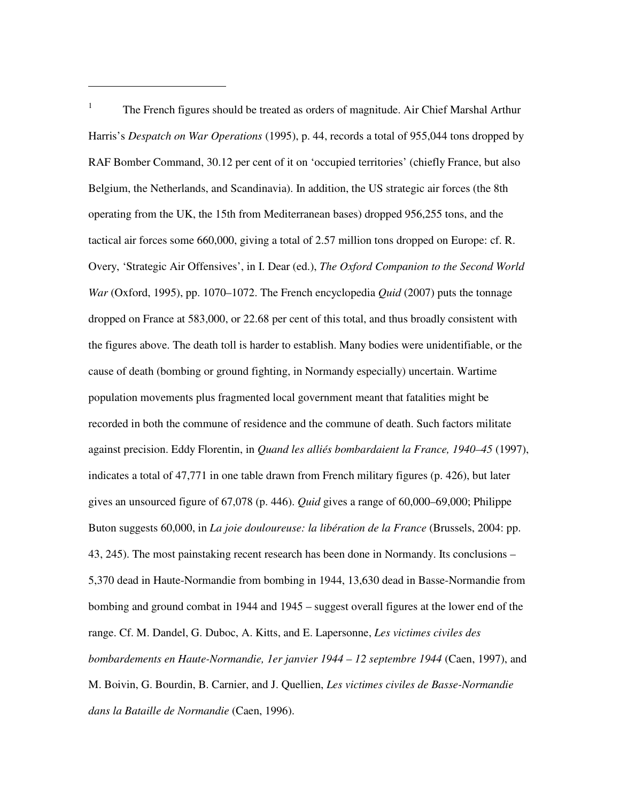1 The French figures should be treated as orders of magnitude. Air Chief Marshal Arthur Harris's *Despatch on War Operations* (1995), p. 44, records a total of 955,044 tons dropped by RAF Bomber Command, 30.12 per cent of it on 'occupied territories' (chiefly France, but also Belgium, the Netherlands, and Scandinavia). In addition, the US strategic air forces (the 8th operating from the UK, the 15th from Mediterranean bases) dropped 956,255 tons, and the tactical air forces some 660,000, giving a total of 2.57 million tons dropped on Europe: cf. R. Overy, 'Strategic Air Offensives', in I. Dear (ed.), *The Oxford Companion to the Second World War* (Oxford, 1995), pp. 1070–1072. The French encyclopedia *Quid* (2007) puts the tonnage dropped on France at 583,000, or 22.68 per cent of this total, and thus broadly consistent with the figures above. The death toll is harder to establish. Many bodies were unidentifiable, or the cause of death (bombing or ground fighting, in Normandy especially) uncertain. Wartime population movements plus fragmented local government meant that fatalities might be recorded in both the commune of residence and the commune of death. Such factors militate against precision. Eddy Florentin, in *Quand les alliés bombardaient la France, 1940–45* (1997), indicates a total of 47,771 in one table drawn from French military figures (p. 426), but later gives an unsourced figure of 67,078 (p. 446). *Quid* gives a range of 60,000–69,000; Philippe Buton suggests 60,000, in *La joie douloureuse: la libération de la France* (Brussels, 2004: pp. 43, 245). The most painstaking recent research has been done in Normandy. Its conclusions – 5,370 dead in Haute-Normandie from bombing in 1944, 13,630 dead in Basse-Normandie from bombing and ground combat in 1944 and 1945 – suggest overall figures at the lower end of the range. Cf. M. Dandel, G. Duboc, A. Kitts, and E. Lapersonne, *Les victimes civiles des bombardements en Haute-Normandie, 1er janvier 1944 – 12 septembre 1944* (Caen, 1997), and M. Boivin, G. Bourdin, B. Carnier, and J. Quellien, *Les victimes civiles de Basse-Normandie dans la Bataille de Normandie* (Caen, 1996).

-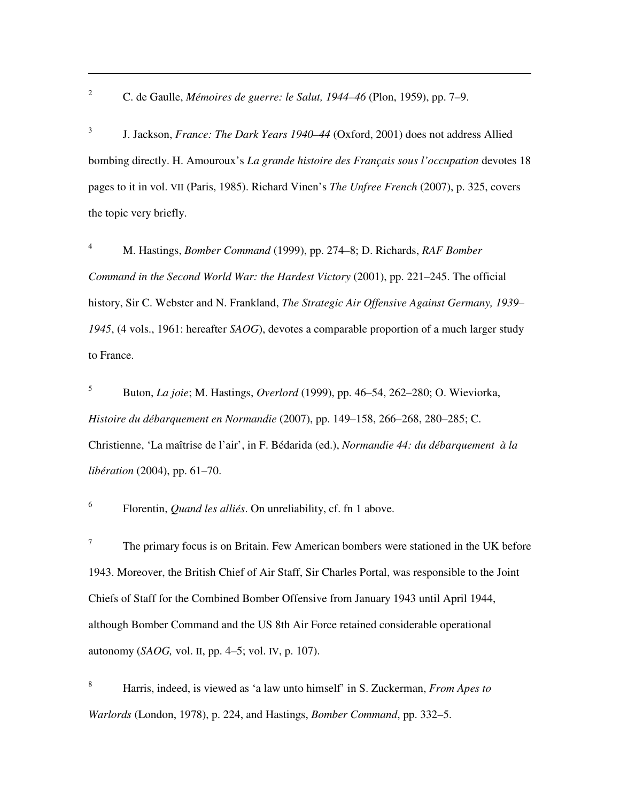2 C. de Gaulle, *Mémoires de guerre: le Salut, 1944–46* (Plon, 1959), pp. 7–9.

 $\overline{a}$ 

3 J. Jackson, *France: The Dark Years 1940–44* (Oxford, 2001) does not address Allied bombing directly. H. Amouroux's *La grande histoire des Français sous l'occupation* devotes 18 pages to it in vol. VII (Paris, 1985). Richard Vinen's *The Unfree French* (2007), p. 325, covers the topic very briefly.

4 M. Hastings, *Bomber Command* (1999), pp. 274–8; D. Richards, *RAF Bomber Command in the Second World War: the Hardest Victory* (2001), pp. 221–245. The official history, Sir C. Webster and N. Frankland, *The Strategic Air Offensive Against Germany, 1939– 1945*, (4 vols., 1961: hereafter *SAOG*), devotes a comparable proportion of a much larger study to France.

5 Buton, *La joie*; M. Hastings, *Overlord* (1999), pp. 46–54, 262–280; O. Wieviorka, *Histoire du débarquement en Normandie* (2007), pp. 149–158, 266–268, 280–285; C. Christienne, 'La maîtrise de l'air', in F. Bédarida (ed.), *Normandie 44: du débarquement à la libération* (2004), pp. 61–70.

6 Florentin, *Quand les alliés*. On unreliability, cf. fn 1 above.

7 The primary focus is on Britain. Few American bombers were stationed in the UK before 1943. Moreover, the British Chief of Air Staff, Sir Charles Portal, was responsible to the Joint Chiefs of Staff for the Combined Bomber Offensive from January 1943 until April 1944, although Bomber Command and the US 8th Air Force retained considerable operational autonomy (*SAOG,* vol. II, pp. 4–5; vol. IV, p. 107).

8 Harris, indeed, is viewed as 'a law unto himself' in S. Zuckerman, *From Apes to Warlords* (London, 1978), p. 224, and Hastings, *Bomber Command*, pp. 332–5.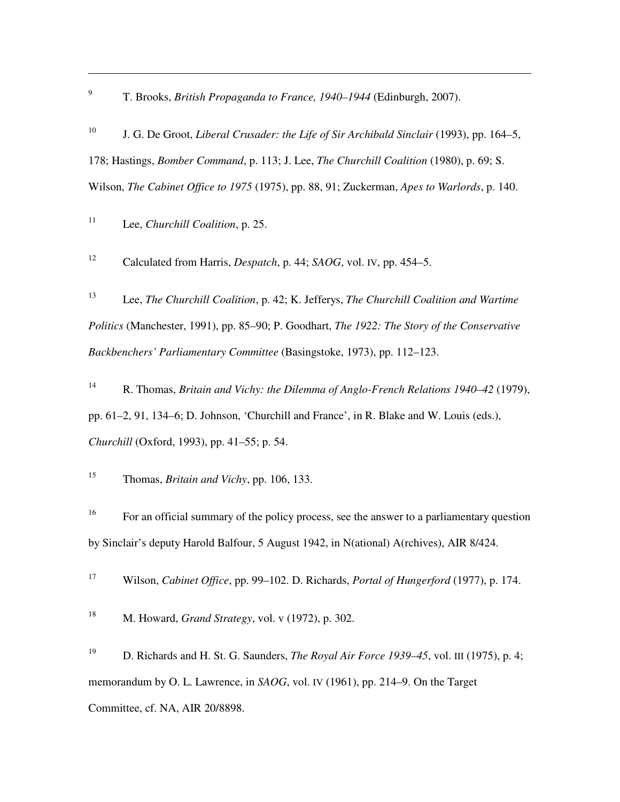T. Brooks, *British Propaganda to France, 1940–1944* (Edinburgh, 2007).

<sup>10</sup> J. G. De Groot, *Liberal Crusader: the Life of Sir Archibald Sinclair* (1993), pp. 164–5, 178; Hastings, *Bomber Command*, p. 113; J. Lee, *The Churchill Coalition* (1980), p. 69; S. Wilson, *The Cabinet Office to 1975* (1975), pp. 88, 91; Zuckerman, *Apes to Warlords*, p. 140.

<sup>11</sup> Lee, *Churchill Coalition*, p. 25.

 $\overline{a}$ 9

<sup>12</sup> Calculated from Harris, *Despatch*, p. 44; *SAOG*, vol. IV, pp. 454–5.

<sup>13</sup> Lee, *The Churchill Coalition*, p. 42; K. Jefferys, *The Churchill Coalition and Wartime Politics* (Manchester, 1991), pp. 85–90; P. Goodhart, *The 1922: The Story of the Conservative Backbenchers' Parliamentary Committee* (Basingstoke, 1973), pp. 112–123.

<sup>14</sup> R. Thomas, *Britain and Vichy: the Dilemma of Anglo-French Relations 1940–42* (1979), pp. 61–2, 91, 134–6; D. Johnson, 'Churchill and France', in R. Blake and W. Louis (eds.), *Churchill* (Oxford, 1993), pp. 41–55; p. 54.

<sup>15</sup> Thomas, *Britain and Vichy*, pp. 106, 133.

<sup>16</sup> For an official summary of the policy process, see the answer to a parliamentary question by Sinclair's deputy Harold Balfour, 5 August 1942, in N(ational) A(rchives), AIR 8/424.

<sup>17</sup> Wilson, *Cabinet Office*, pp. 99–102. D. Richards, *Portal of Hungerford* (1977), p. 174.

<sup>18</sup> M. Howard, *Grand Strategy*, vol. v (1972), p. 302.

<sup>19</sup> D. Richards and H. St. G. Saunders, *The Royal Air Force 1939–45*, vol. III (1975), p. 4; memorandum by O. L. Lawrence, in *SAOG*, vol. IV (1961), pp. 214–9. On the Target Committee, cf. NA, AIR 20/8898.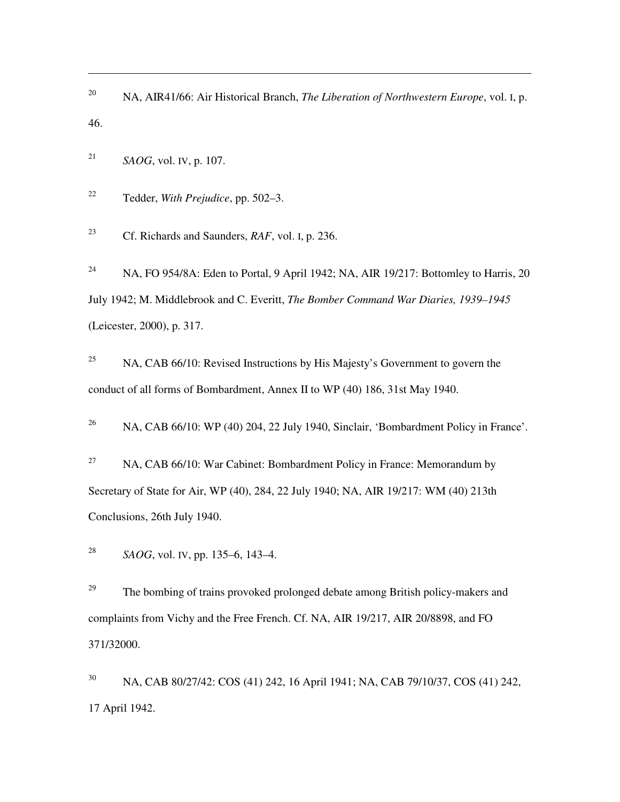<sup>20</sup> NA, AIR41/66: Air Historical Branch, *The Liberation of Northwestern Europe*, vol. I, p. 46.

<sup>21</sup> *SAOG*, vol. IV, p. 107.

 $\overline{a}$ 

<sup>22</sup> Tedder, *With Prejudice*, pp. 502–3.

<sup>23</sup> Cf. Richards and Saunders, *RAF*, vol. I, p. 236.

<sup>24</sup> NA, FO 954/8A: Eden to Portal, 9 April 1942; NA, AIR 19/217: Bottomley to Harris, 20 July 1942; M. Middlebrook and C. Everitt, *The Bomber Command War Diaries, 1939–1945* (Leicester, 2000), p. 317.

<sup>25</sup> NA, CAB 66/10: Revised Instructions by His Majesty's Government to govern the conduct of all forms of Bombardment, Annex II to WP (40) 186, 31st May 1940.

<sup>26</sup> NA, CAB 66/10: WP (40) 204, 22 July 1940, Sinclair, 'Bombardment Policy in France'.

<sup>27</sup> NA, CAB 66/10: War Cabinet: Bombardment Policy in France: Memorandum by Secretary of State for Air, WP (40), 284, 22 July 1940; NA, AIR 19/217: WM (40) 213th Conclusions, 26th July 1940.

<sup>28</sup> *SAOG*, vol. IV, pp. 135–6, 143–4.

<sup>29</sup> The bombing of trains provoked prolonged debate among British policy-makers and complaints from Vichy and the Free French. Cf. NA, AIR 19/217, AIR 20/8898, and FO 371/32000.

<sup>30</sup> NA, CAB 80/27/42: COS (41) 242, 16 April 1941; NA, CAB 79/10/37, COS (41) 242, 17 April 1942.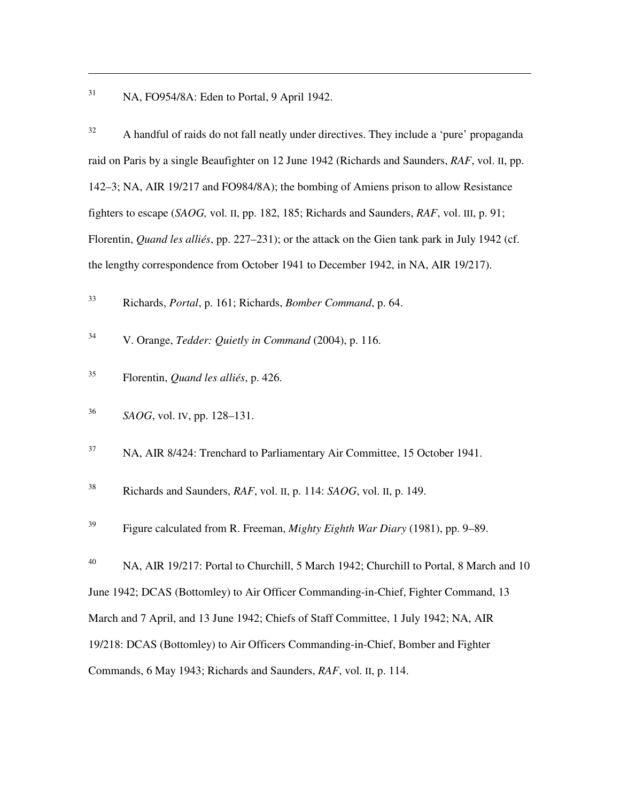$\overline{a}$ 

 $32$  A handful of raids do not fall neatly under directives. They include a 'pure' propaganda raid on Paris by a single Beaufighter on 12 June 1942 (Richards and Saunders, *RAF*, vol. II, pp. 142–3; NA, AIR 19/217 and FO984/8A); the bombing of Amiens prison to allow Resistance fighters to escape (*SAOG,* vol. II, pp. 182, 185; Richards and Saunders, *RAF*, vol. III, p. 91; Florentin, *Quand les alliés*, pp. 227–231); or the attack on the Gien tank park in July 1942 (cf. the lengthy correspondence from October 1941 to December 1942, in NA, AIR 19/217).

<sup>33</sup> Richards, *Portal*, p. 161; Richards, *Bomber Command*, p. 64.

- <sup>34</sup> V. Orange, *Tedder: Quietly in Command* (2004), p. 116.
- <sup>35</sup> Florentin, *Quand les alliés*, p. 426.
- <sup>36</sup> *SAOG*, vol. IV, pp. 128–131.
- <sup>37</sup> NA, AIR 8/424: Trenchard to Parliamentary Air Committee, 15 October 1941.
- <sup>38</sup> Richards and Saunders, *RAF*, vol. II, p. 114: *SAOG*, vol. II, p. 149.
- <sup>39</sup> Figure calculated from R. Freeman, *Mighty Eighth War Diary* (1981), pp. 9–89.

<sup>40</sup> NA, AIR 19/217: Portal to Churchill, 5 March 1942; Churchill to Portal, 8 March and 10 June 1942; DCAS (Bottomley) to Air Officer Commanding-in-Chief, Fighter Command, 13 March and 7 April, and 13 June 1942; Chiefs of Staff Committee, 1 July 1942; NA, AIR 19/218: DCAS (Bottomley) to Air Officers Commanding-in-Chief, Bomber and Fighter Commands, 6 May 1943; Richards and Saunders, *RAF*, vol. II, p. 114.

 $31$  NA, FO954/8A: Eden to Portal, 9 April 1942.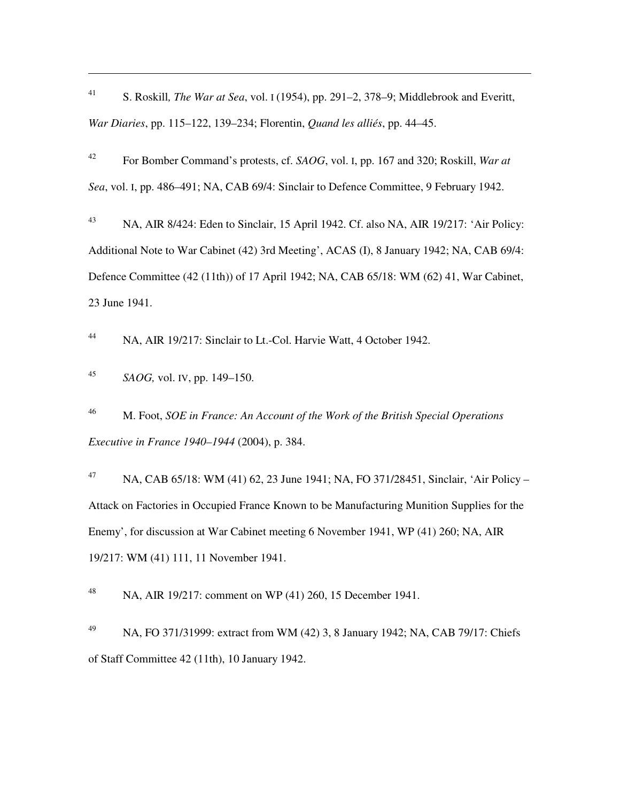<sup>41</sup> S. Roskill*, The War at Sea*, vol. I (1954), pp. 291–2, 378–9; Middlebrook and Everitt, *War Diaries*, pp. 115–122, 139–234; Florentin, *Quand les alliés*, pp. 44–45.

<sup>42</sup> For Bomber Command's protests, cf. *SAOG*, vol. I, pp. 167 and 320; Roskill, *War at Sea*, vol. I, pp. 486–491; NA, CAB 69/4: Sinclair to Defence Committee, 9 February 1942.

<sup>43</sup> NA, AIR 8/424: Eden to Sinclair, 15 April 1942. Cf. also NA, AIR 19/217: 'Air Policy: Additional Note to War Cabinet (42) 3rd Meeting', ACAS (I), 8 January 1942; NA, CAB 69/4: Defence Committee (42 (11th)) of 17 April 1942; NA, CAB 65/18: WM (62) 41, War Cabinet, 23 June 1941.

<sup>44</sup> NA, AIR 19/217: Sinclair to Lt.-Col. Harvie Watt, 4 October 1942.

<sup>45</sup> *SAOG,* vol. IV, pp. 149–150.

 $\overline{a}$ 

<sup>46</sup> M. Foot, *SOE in France: An Account of the Work of the British Special Operations Executive in France 1940–1944* (2004), p. 384.

<sup>47</sup> NA, CAB 65/18: WM (41) 62, 23 June 1941; NA, FO 371/28451, Sinclair, 'Air Policy – Attack on Factories in Occupied France Known to be Manufacturing Munition Supplies for the Enemy', for discussion at War Cabinet meeting 6 November 1941, WP (41) 260; NA, AIR 19/217: WM (41) 111, 11 November 1941.

<sup>48</sup> NA, AIR 19/217: comment on WP (41) 260, 15 December 1941.

<sup>49</sup> NA, FO 371/31999: extract from WM (42) 3, 8 January 1942; NA, CAB 79/17: Chiefs of Staff Committee 42 (11th), 10 January 1942.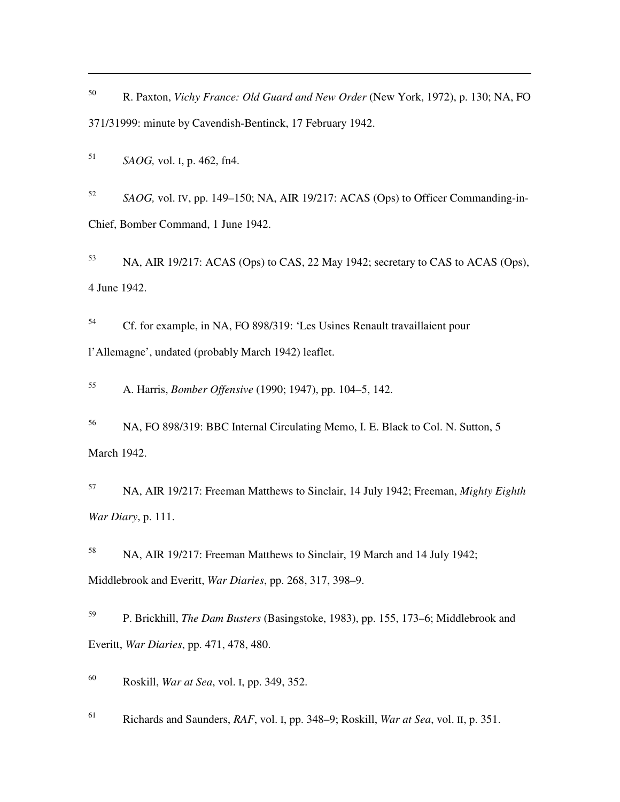<sup>50</sup> R. Paxton, *Vichy France: Old Guard and New Order* (New York, 1972), p. 130; NA, FO 371/31999: minute by Cavendish-Bentinck, 17 February 1942.

<sup>51</sup> *SAOG,* vol. I, p. 462, fn4.

 $\overline{a}$ 

<sup>52</sup> *SAOG,* vol. IV, pp. 149–150; NA, AIR 19/217: ACAS (Ops) to Officer Commanding-in-Chief, Bomber Command, 1 June 1942.

<sup>53</sup> NA, AIR 19/217: ACAS (Ops) to CAS, 22 May 1942; secretary to CAS to ACAS (Ops), 4 June 1942.

<sup>54</sup> Cf. for example, in NA, FO 898/319: 'Les Usines Renault travaillaient pour l'Allemagne', undated (probably March 1942) leaflet.

<sup>55</sup> A. Harris, *Bomber Offensive* (1990; 1947), pp. 104–5, 142.

<sup>56</sup> NA, FO 898/319: BBC Internal Circulating Memo, I. E. Black to Col. N. Sutton, 5 March 1942.

<sup>57</sup> NA, AIR 19/217: Freeman Matthews to Sinclair, 14 July 1942; Freeman, *Mighty Eighth War Diary*, p. 111.

<sup>58</sup> NA, AIR 19/217: Freeman Matthews to Sinclair, 19 March and 14 July 1942; Middlebrook and Everitt, *War Diaries*, pp. 268, 317, 398–9.

<sup>59</sup> P. Brickhill, *The Dam Busters* (Basingstoke, 1983), pp. 155, 173–6; Middlebrook and Everitt, *War Diaries*, pp. 471, 478, 480.

<sup>60</sup> Roskill, *War at Sea*, vol. I, pp. 349, 352.

<sup>61</sup> Richards and Saunders, *RAF*, vol. I, pp. 348–9; Roskill, *War at Sea*, vol. II, p. 351.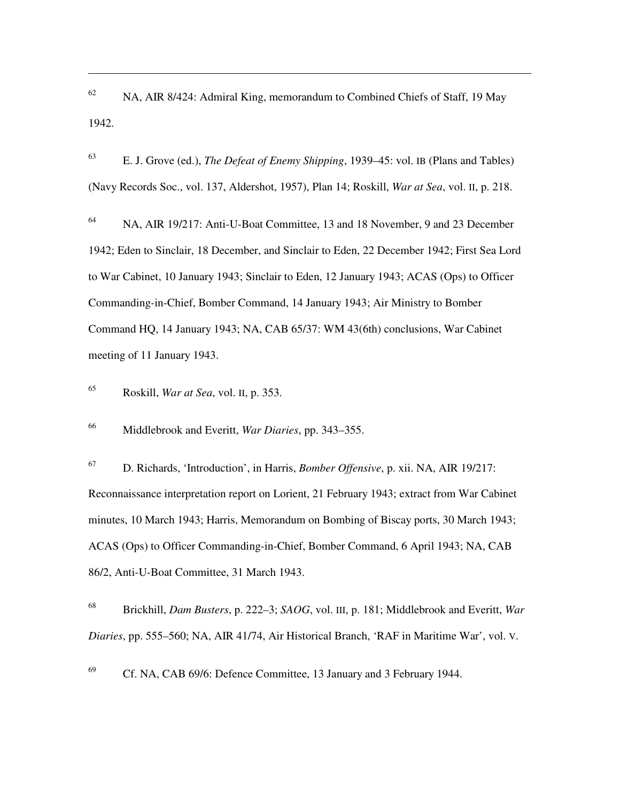$62$  NA, AIR 8/424: Admiral King, memorandum to Combined Chiefs of Staff, 19 May 1942.

<sup>63</sup> E. J. Grove (ed.), *The Defeat of Enemy Shipping*, 1939–45: vol. IB (Plans and Tables) (Navy Records Soc., vol. 137, Aldershot, 1957), Plan 14; Roskill, *War at Sea*, vol. II, p. 218.

<sup>64</sup> NA, AIR 19/217: Anti-U-Boat Committee, 13 and 18 November, 9 and 23 December 1942; Eden to Sinclair, 18 December, and Sinclair to Eden, 22 December 1942; First Sea Lord to War Cabinet, 10 January 1943; Sinclair to Eden, 12 January 1943; ACAS (Ops) to Officer Commanding-in-Chief, Bomber Command, 14 January 1943; Air Ministry to Bomber Command HQ, 14 January 1943; NA, CAB 65/37: WM 43(6th) conclusions, War Cabinet meeting of 11 January 1943.

<sup>65</sup> Roskill, *War at Sea*, vol. II, p. 353.

 $\overline{a}$ 

<sup>66</sup> Middlebrook and Everitt, *War Diaries*, pp. 343–355.

<sup>67</sup> D. Richards, 'Introduction', in Harris, *Bomber Offensive*, p. xii. NA, AIR 19/217: Reconnaissance interpretation report on Lorient, 21 February 1943; extract from War Cabinet minutes, 10 March 1943; Harris, Memorandum on Bombing of Biscay ports, 30 March 1943; ACAS (Ops) to Officer Commanding-in-Chief, Bomber Command, 6 April 1943; NA, CAB 86/2, Anti-U-Boat Committee, 31 March 1943.

<sup>68</sup> Brickhill, *Dam Busters*, p. 222–3; *SAOG*, vol. III, p. 181; Middlebrook and Everitt, *War Diaries*, pp. 555–560; NA, AIR 41/74, Air Historical Branch, 'RAF in Maritime War', vol. V.

<sup>69</sup> Cf. NA, CAB 69/6: Defence Committee, 13 January and 3 February 1944.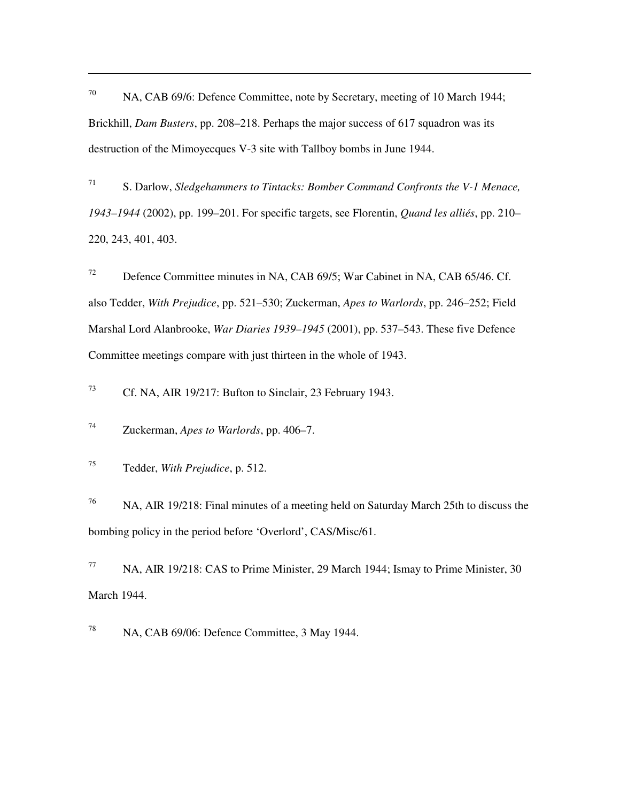<sup>70</sup> NA, CAB 69/6: Defence Committee, note by Secretary, meeting of 10 March 1944; Brickhill, *Dam Busters*, pp. 208–218. Perhaps the major success of 617 squadron was its destruction of the Mimoyecques V-3 site with Tallboy bombs in June 1944.

<sup>71</sup> S. Darlow, *Sledgehammers to Tintacks: Bomber Command Confronts the V-1 Menace, 1943–1944* (2002), pp. 199–201. For specific targets, see Florentin, *Quand les alliés*, pp. 210– 220, 243, 401, 403.

<sup>72</sup> Defence Committee minutes in NA, CAB 69/5; War Cabinet in NA, CAB 65/46. Cf. also Tedder, *With Prejudice*, pp. 521–530; Zuckerman, *Apes to Warlords*, pp. 246–252; Field Marshal Lord Alanbrooke, *War Diaries 1939–1945* (2001), pp. 537–543. These five Defence Committee meetings compare with just thirteen in the whole of 1943.

<sup>73</sup> Cf. NA, AIR 19/217: Bufton to Sinclair, 23 February 1943.

<sup>74</sup> Zuckerman, *Apes to Warlords*, pp. 406–7.

<sup>75</sup> Tedder, *With Prejudice*, p. 512.

 $\overline{a}$ 

<sup>76</sup> NA, AIR 19/218: Final minutes of a meeting held on Saturday March 25th to discuss the bombing policy in the period before 'Overlord', CAS/Misc/61.

<sup>77</sup> NA, AIR 19/218: CAS to Prime Minister, 29 March 1944; Ismay to Prime Minister, 30 March 1944.

<sup>78</sup> NA, CAB 69/06: Defence Committee, 3 May 1944.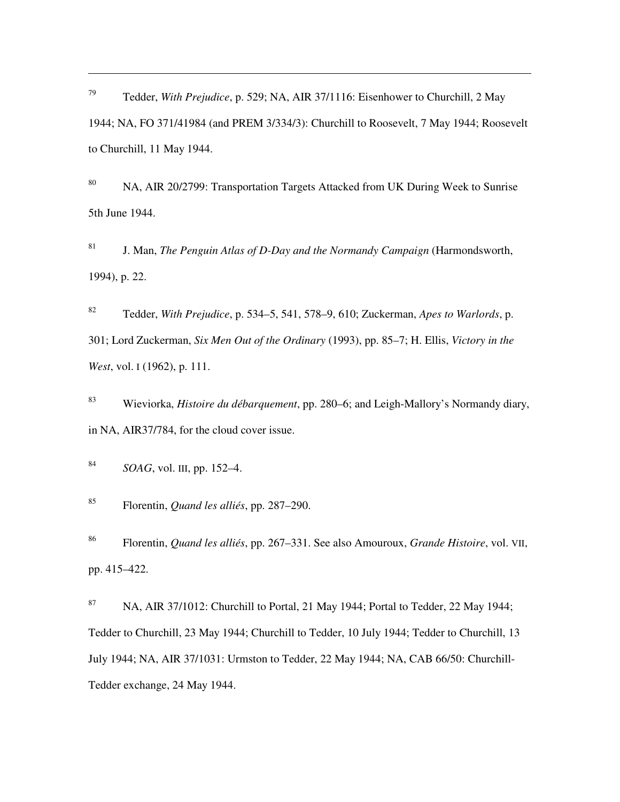<sup>79</sup> Tedder, *With Prejudice*, p. 529; NA, AIR 37/1116: Eisenhower to Churchill, 2 May 1944; NA, FO 371/41984 (and PREM 3/334/3): Churchill to Roosevelt, 7 May 1944; Roosevelt to Churchill, 11 May 1944.

<sup>80</sup> NA, AIR 20/2799: Transportation Targets Attacked from UK During Week to Sunrise 5th June 1944.

<sup>81</sup> J. Man, *The Penguin Atlas of D-Day and the Normandy Campaign* (Harmondsworth, 1994), p. 22.

<sup>82</sup> Tedder, *With Prejudice*, p. 534–5, 541, 578–9, 610; Zuckerman, *Apes to Warlords*, p. 301; Lord Zuckerman, *Six Men Out of the Ordinary* (1993), pp. 85–7; H. Ellis, *Victory in the West*, vol. I (1962), p. 111.

<sup>83</sup> Wieviorka, *Histoire du débarquement*, pp. 280–6; and Leigh-Mallory's Normandy diary, in NA, AIR37/784, for the cloud cover issue.

<sup>84</sup> *SOAG*, vol. III, pp. 152–4.

 $\overline{a}$ 

<sup>85</sup> Florentin, *Quand les alliés*, pp. 287–290.

<sup>86</sup> Florentin, *Quand les alliés*, pp. 267–331. See also Amouroux, *Grande Histoire*, vol. VII, pp. 415–422.

<sup>87</sup> NA, AIR 37/1012: Churchill to Portal, 21 May 1944; Portal to Tedder, 22 May 1944; Tedder to Churchill, 23 May 1944; Churchill to Tedder, 10 July 1944; Tedder to Churchill, 13 July 1944; NA, AIR 37/1031: Urmston to Tedder, 22 May 1944; NA, CAB 66/50: Churchill-Tedder exchange, 24 May 1944.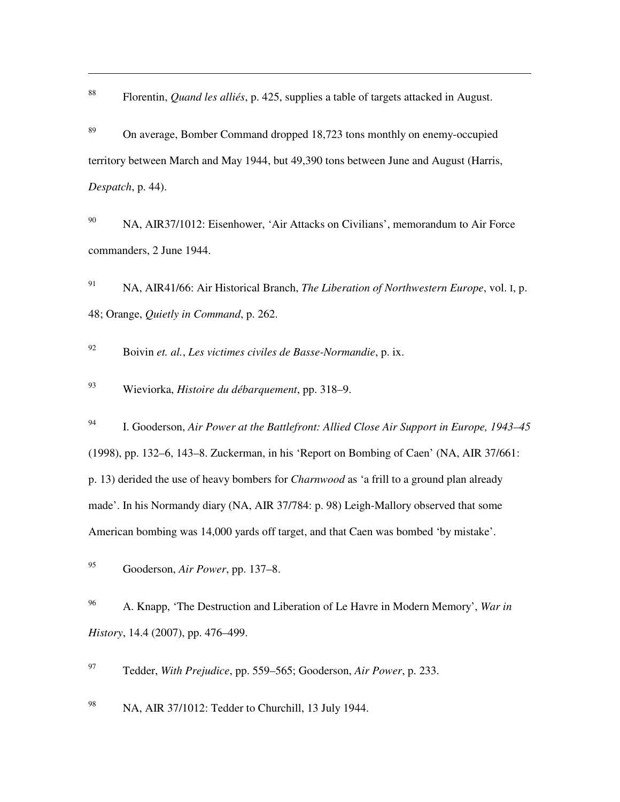<sup>88</sup> Florentin, *Quand les alliés*, p. 425, supplies a table of targets attacked in August.

<sup>89</sup> On average, Bomber Command dropped 18,723 tons monthly on enemy-occupied territory between March and May 1944, but 49,390 tons between June and August (Harris, *Despatch*, p. 44).

<sup>90</sup> NA, AIR37/1012: Eisenhower, 'Air Attacks on Civilians', memorandum to Air Force commanders, 2 June 1944.

<sup>91</sup> NA, AIR41/66: Air Historical Branch, *The Liberation of Northwestern Europe*, vol. I, p. 48; Orange, *Quietly in Command*, p. 262.

<sup>92</sup> Boivin *et. al.*, *Les victimes civiles de Basse-Normandie*, p. ix.

<sup>93</sup> Wieviorka, *Histoire du débarquement*, pp. 318–9.

<sup>94</sup> I. Gooderson, *Air Power at the Battlefront: Allied Close Air Support in Europe, 1943–45* (1998), pp. 132–6, 143–8. Zuckerman, in his 'Report on Bombing of Caen' (NA, AIR 37/661: p. 13) derided the use of heavy bombers for *Charnwood* as 'a frill to a ground plan already made'. In his Normandy diary (NA, AIR 37/784: p. 98) Leigh-Mallory observed that some American bombing was 14,000 yards off target, and that Caen was bombed 'by mistake'.

<sup>95</sup> Gooderson, *Air Power*, pp. 137–8.

 $\overline{a}$ 

<sup>96</sup> A. Knapp, 'The Destruction and Liberation of Le Havre in Modern Memory', *War in History*, 14.4 (2007), pp. 476–499.

<sup>97</sup> Tedder, *With Prejudice*, pp. 559–565; Gooderson, *Air Power*, p. 233.

<sup>98</sup> NA, AIR 37/1012: Tedder to Churchill, 13 July 1944.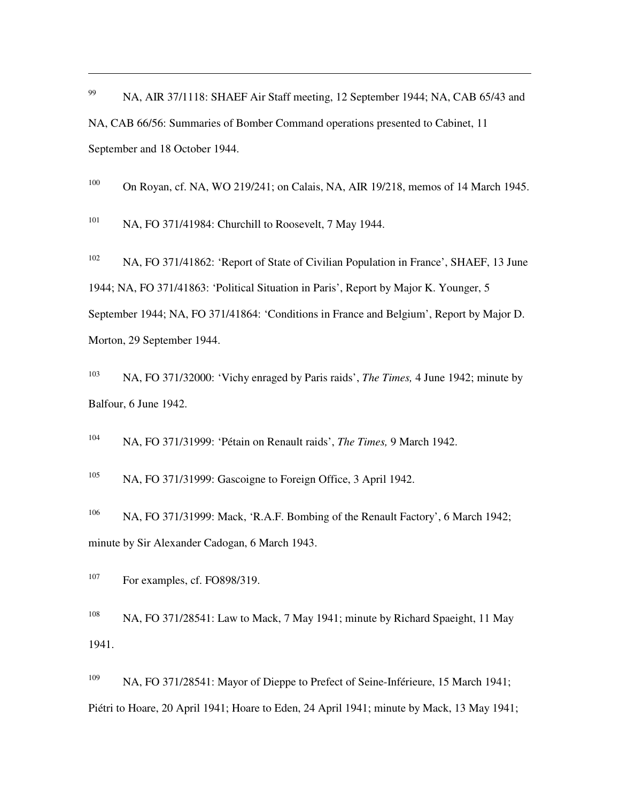<sup>99</sup> NA, AIR 37/1118: SHAEF Air Staff meeting, 12 September 1944; NA, CAB 65/43 and NA, CAB 66/56: Summaries of Bomber Command operations presented to Cabinet, 11 September and 18 October 1944.

<sup>100</sup> On Royan, cf. NA, WO 219/241; on Calais, NA, AIR 19/218, memos of 14 March 1945.

 $101$  NA, FO 371/41984: Churchill to Roosevelt, 7 May 1944.

 $\overline{a}$ 

<sup>102</sup> NA, FO 371/41862: 'Report of State of Civilian Population in France', SHAEF, 13 June 1944; NA, FO 371/41863: 'Political Situation in Paris', Report by Major K. Younger, 5 September 1944; NA, FO 371/41864: 'Conditions in France and Belgium', Report by Major D. Morton, 29 September 1944.

<sup>103</sup> NA, FO 371/32000: 'Vichy enraged by Paris raids', *The Times,* 4 June 1942; minute by Balfour, 6 June 1942.

<sup>104</sup> NA, FO 371/31999: 'Pétain on Renault raids', *The Times,* 9 March 1942.

<sup>105</sup> NA, FO 371/31999: Gascoigne to Foreign Office, 3 April 1942.

<sup>106</sup> NA, FO 371/31999: Mack, 'R.A.F. Bombing of the Renault Factory', 6 March 1942; minute by Sir Alexander Cadogan, 6 March 1943.

<sup>107</sup> For examples, cf. FO898/319.

<sup>108</sup> NA, FO 371/28541: Law to Mack, 7 May 1941; minute by Richard Spaeight, 11 May 1941.

<sup>109</sup> NA, FO 371/28541: Mayor of Dieppe to Prefect of Seine-Inférieure, 15 March 1941; Piétri to Hoare, 20 April 1941; Hoare to Eden, 24 April 1941; minute by Mack, 13 May 1941;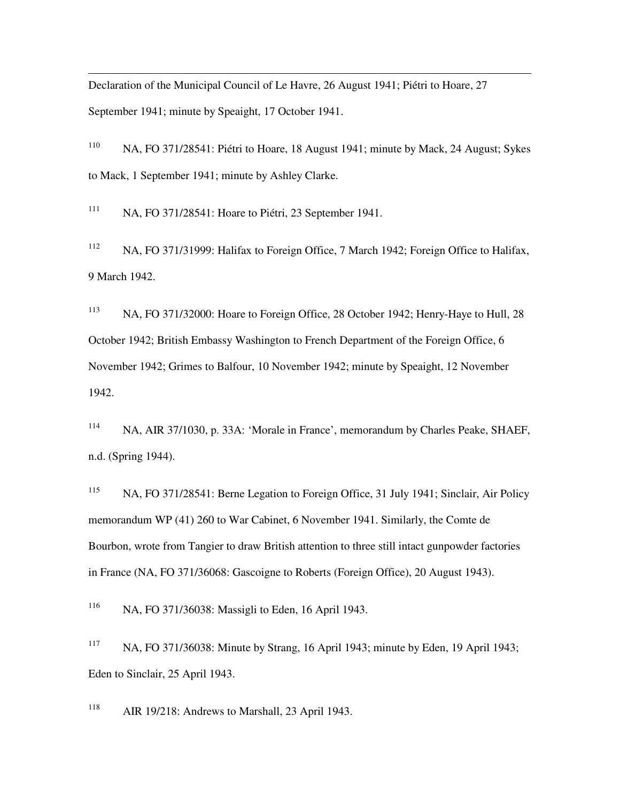Declaration of the Municipal Council of Le Havre, 26 August 1941; Piétri to Hoare, 27 September 1941; minute by Speaight, 17 October 1941.

<sup>110</sup> NA, FO 371/28541: Piétri to Hoare, 18 August 1941; minute by Mack, 24 August; Sykes to Mack, 1 September 1941; minute by Ashley Clarke.

<sup>111</sup> NA, FO 371/28541: Hoare to Piétri, 23 September 1941.

 $\overline{a}$ 

<sup>112</sup> NA, FO 371/31999: Halifax to Foreign Office, 7 March 1942; Foreign Office to Halifax, 9 March 1942.

<sup>113</sup> NA, FO 371/32000: Hoare to Foreign Office, 28 October 1942; Henry-Haye to Hull, 28 October 1942; British Embassy Washington to French Department of the Foreign Office, 6 November 1942; Grimes to Balfour, 10 November 1942; minute by Speaight, 12 November 1942.

<sup>114</sup> NA, AIR 37/1030, p. 33A: 'Morale in France', memorandum by Charles Peake, SHAEF, n.d. (Spring 1944).

<sup>115</sup> NA, FO 371/28541: Berne Legation to Foreign Office, 31 July 1941; Sinclair, Air Policy memorandum WP (41) 260 to War Cabinet, 6 November 1941. Similarly, the Comte de Bourbon, wrote from Tangier to draw British attention to three still intact gunpowder factories in France (NA, FO 371/36068: Gascoigne to Roberts (Foreign Office), 20 August 1943).

<sup>116</sup> NA, FO 371/36038: Massigli to Eden, 16 April 1943.

<sup>117</sup> NA, FO 371/36038: Minute by Strang, 16 April 1943; minute by Eden, 19 April 1943; Eden to Sinclair, 25 April 1943.

<sup>118</sup> AIR 19/218: Andrews to Marshall, 23 April 1943.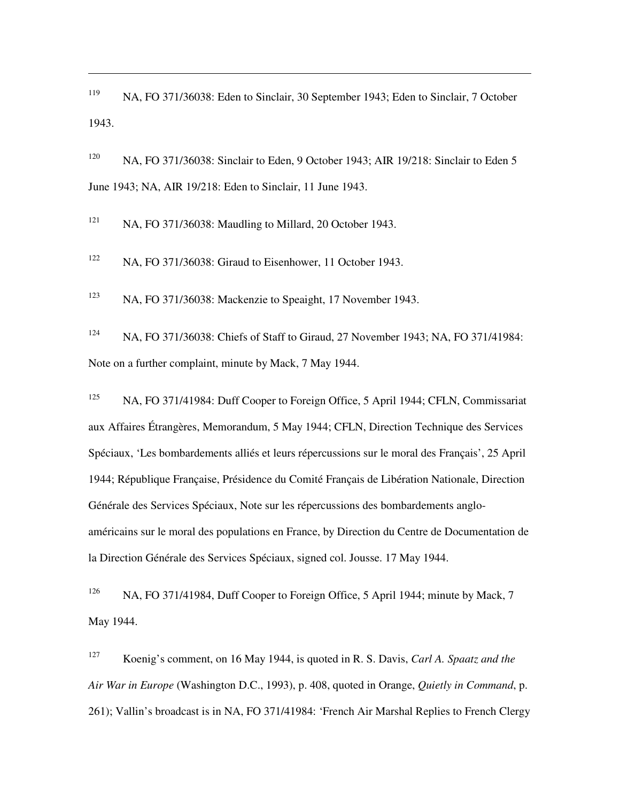<sup>119</sup> NA, FO 371/36038: Eden to Sinclair, 30 September 1943; Eden to Sinclair, 7 October 1943.

<sup>120</sup> NA, FO 371/36038: Sinclair to Eden, 9 October 1943; AIR 19/218: Sinclair to Eden 5 June 1943; NA, AIR 19/218: Eden to Sinclair, 11 June 1943.

 $121$  NA, FO 371/36038: Maudling to Millard, 20 October 1943.

 $\overline{a}$ 

<sup>122</sup> NA, FO 371/36038: Giraud to Eisenhower, 11 October 1943.

<sup>123</sup> NA, FO 371/36038: Mackenzie to Speaight, 17 November 1943.

<sup>124</sup> NA, FO 371/36038: Chiefs of Staff to Giraud, 27 November 1943; NA, FO 371/41984: Note on a further complaint, minute by Mack, 7 May 1944.

<sup>125</sup> NA, FO 371/41984: Duff Cooper to Foreign Office, 5 April 1944; CFLN, Commissariat aux Affaires Étrangères, Memorandum, 5 May 1944; CFLN, Direction Technique des Services Spéciaux, 'Les bombardements alliés et leurs répercussions sur le moral des Français', 25 April 1944; République Française, Présidence du Comité Français de Libération Nationale, Direction Générale des Services Spéciaux, Note sur les répercussions des bombardements angloaméricains sur le moral des populations en France, by Direction du Centre de Documentation de la Direction Générale des Services Spéciaux, signed col. Jousse. 17 May 1944.

<sup>126</sup> NA, FO 371/41984, Duff Cooper to Foreign Office, 5 April 1944; minute by Mack, 7 May 1944.

<sup>127</sup> Koenig's comment, on 16 May 1944, is quoted in R. S. Davis, *Carl A. Spaatz and the Air War in Europe* (Washington D.C., 1993), p. 408, quoted in Orange, *Quietly in Command*, p. 261); Vallin's broadcast is in NA, FO 371/41984: 'French Air Marshal Replies to French Clergy